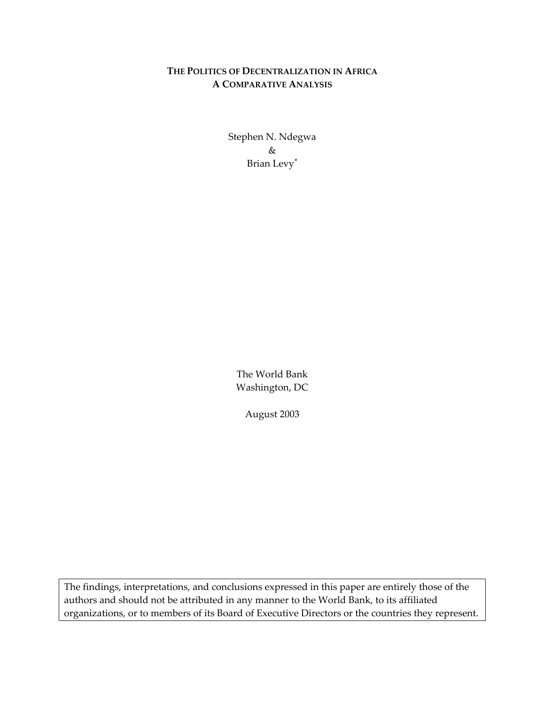# **THE POLITICS OF DECENTRALIZATION IN AFRICA A COMPARATIVE ANALYSIS**

Stephen N. Ndegwa & Brian Levy[∗](#page-34-0)

The World Bank Washington, DC

August 2003

The findings, interpretations, and conclusions expressed in this paper are entirely those of the authors and should not be attributed in any manner to the World Bank, to its affiliated organizations, or to members of its Board of Executive Directors or the countries they represent.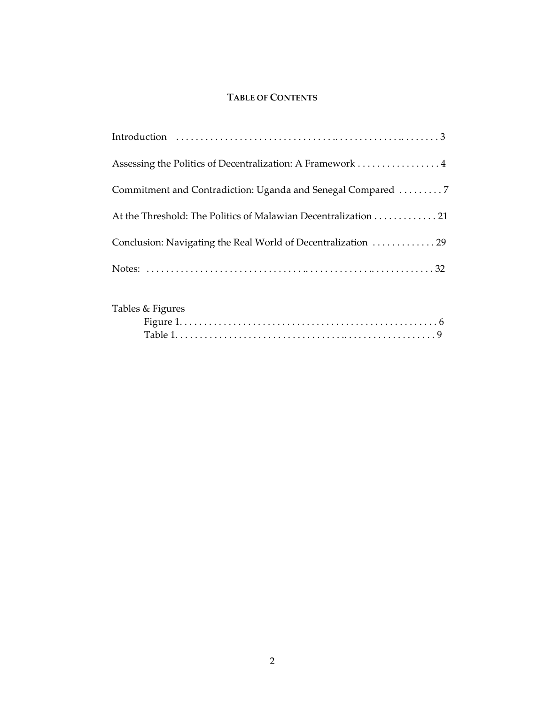## **TABLE OF CONTENTS**

| Assessing the Politics of Decentralization: A Framework 4      |
|----------------------------------------------------------------|
|                                                                |
| At the Threshold: The Politics of Malawian Decentralization 21 |
|                                                                |
|                                                                |

| Tables & Figures |  |  |
|------------------|--|--|
|                  |  |  |
|                  |  |  |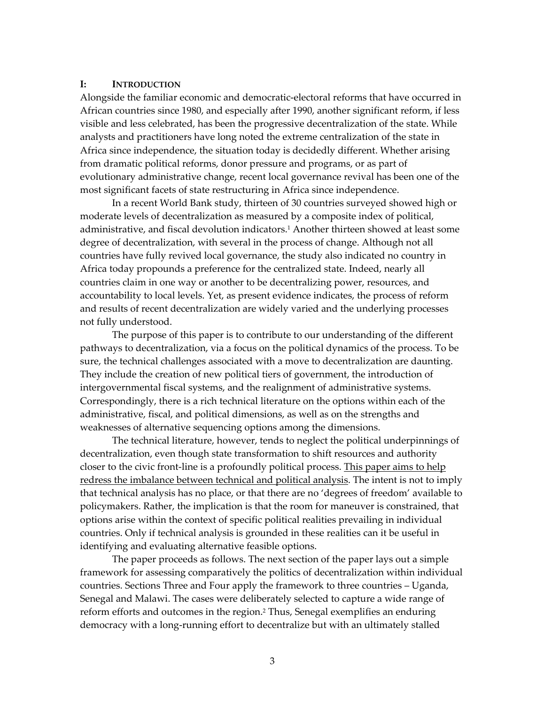### **I: INTRODUCTION**

Alongside the familiar economic and democratic-electoral reforms that have occurred in African countries since 1980, and especially after 1990, another significant reform, if less visible and less celebrated, has been the progressive decentralization of the state. While analysts and practitioners have long noted the extreme centralization of the state in Africa since independence, the situation today is decidedly different. Whether arising from dramatic political reforms, donor pressure and programs, or as part of evolutionary administrative change, recent local governance revival has been one of the most significant facets of state restructuring in Africa since independence.

In a recent World Bank study, thirteen of 30 countries surveyed showed high or moderate levels of decentralization as measured by a composite index of political, administrative, and fiscal devolution indicators[.1](#page-34-1) Another thirteen showed at least some degree of decentralization, with several in the process of change. Although not all countries have fully revived local governance, the study also indicated no country in Africa today propounds a preference for the centralized state. Indeed, nearly all countries claim in one way or another to be decentralizing power, resources, and accountability to local levels. Yet, as present evidence indicates, the process of reform and results of recent decentralization are widely varied and the underlying processes not fully understood.

The purpose of this paper is to contribute to our understanding of the different pathways to decentralization, via a focus on the political dynamics of the process. To be sure, the technical challenges associated with a move to decentralization are daunting. They include the creation of new political tiers of government, the introduction of intergovernmental fiscal systems, and the realignment of administrative systems. Correspondingly, there is a rich technical literature on the options within each of the administrative, fiscal, and political dimensions, as well as on the strengths and weaknesses of alternative sequencing options among the dimensions.

The technical literature, however, tends to neglect the political underpinnings of decentralization, even though state transformation to shift resources and authority closer to the civic front-line is a profoundly political process. This paper aims to help redress the imbalance between technical and political analysis. The intent is not to imply that technical analysis has no place, or that there are no 'degrees of freedom' available to policymakers. Rather, the implication is that the room for maneuver is constrained, that options arise within the context of specific political realities prevailing in individual countries. Only if technical analysis is grounded in these realities can it be useful in identifying and evaluating alternative feasible options.

The paper proceeds as follows. The next section of the paper lays out a simple framework for assessing comparatively the politics of decentralization within individual countries. Sections Three and Four apply the framework to three countries – Uganda, Senegal and Malawi. The cases were deliberately selected to capture a wide range of reform efforts and outcomes in the region.[2](#page-34-2) Thus, Senegal exemplifies an enduring democracy with a long-running effort to decentralize but with an ultimately stalled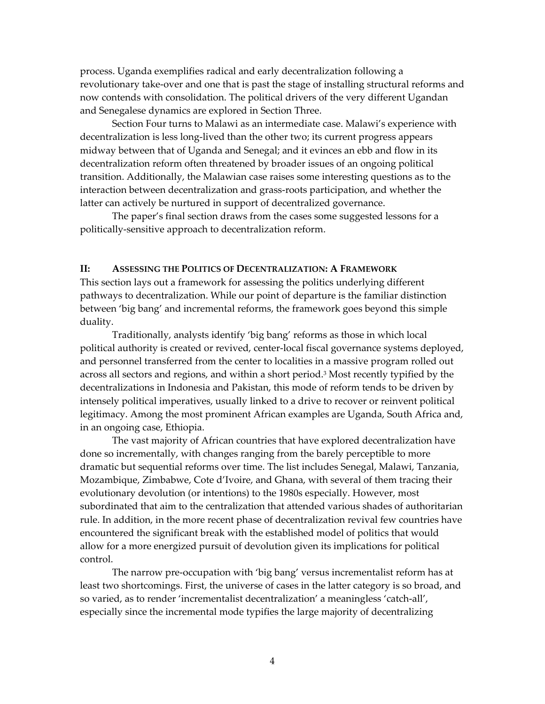process. Uganda exemplifies radical and early decentralization following a revolutionary take-over and one that is past the stage of installing structural reforms and now contends with consolidation. The political drivers of the very different Ugandan and Senegalese dynamics are explored in Section Three.

Section Four turns to Malawi as an intermediate case. Malawi's experience with decentralization is less long-lived than the other two; its current progress appears midway between that of Uganda and Senegal; and it evinces an ebb and flow in its decentralization reform often threatened by broader issues of an ongoing political transition. Additionally, the Malawian case raises some interesting questions as to the interaction between decentralization and grass-roots participation, and whether the latter can actively be nurtured in support of decentralized governance.

The paper's final section draws from the cases some suggested lessons for a politically-sensitive approach to decentralization reform.

## **II: ASSESSING THE POLITICS OF DECENTRALIZATION: A FRAMEWORK**

This section lays out a framework for assessing the politics underlying different pathways to decentralization. While our point of departure is the familiar distinction between 'big bang' and incremental reforms, the framework goes beyond this simple duality.

Traditionally, analysts identify 'big bang' reforms as those in which local political authority is created or revived, center-local fiscal governance systems deployed, and personnel transferred from the center to localities in a massive program rolled out across all sectors and regions, and within a short period.[3 M](#page-34-3)ost recently typified by the decentralizations in Indonesia and Pakistan, this mode of reform tends to be driven by intensely political imperatives, usually linked to a drive to recover or reinvent political legitimacy. Among the most prominent African examples are Uganda, South Africa and, in an ongoing case, Ethiopia.

The vast majority of African countries that have explored decentralization have done so incrementally, with changes ranging from the barely perceptible to more dramatic but sequential reforms over time. The list includes Senegal, Malawi, Tanzania, Mozambique, Zimbabwe, Cote d'Ivoire, and Ghana, with several of them tracing their evolutionary devolution (or intentions) to the 1980s especially. However, most subordinated that aim to the centralization that attended various shades of authoritarian rule. In addition, in the more recent phase of decentralization revival few countries have encountered the significant break with the established model of politics that would allow for a more energized pursuit of devolution given its implications for political control.

The narrow pre-occupation with 'big bang' versus incrementalist reform has at least two shortcomings. First, the universe of cases in the latter category is so broad, and so varied, as to render 'incrementalist decentralization' a meaningless 'catch-all', especially since the incremental mode typifies the large majority of decentralizing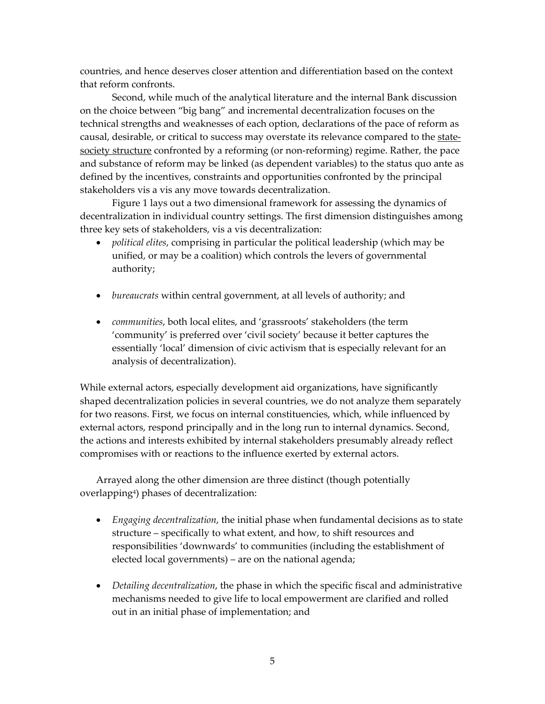countries, and hence deserves closer attention and differentiation based on the context that reform confronts.

Second, while much of the analytical literature and the internal Bank discussion on the choice between "big bang" and incremental decentralization focuses on the technical strengths and weaknesses of each option, declarations of the pace of reform as causal, desirable, or critical to success may overstate its relevance compared to the statesociety structure confronted by a reforming (or non-reforming) regime. Rather, the pace and substance of reform may be linked (as dependent variables) to the status quo ante as defined by the incentives, constraints and opportunities confronted by the principal stakeholders vis a vis any move towards decentralization.

Figure 1 lays out a two dimensional framework for assessing the dynamics of decentralization in individual country settings. The first dimension distinguishes among three key sets of stakeholders, vis a vis decentralization:

- *political elites*, comprising in particular the political leadership (which may be unified, or may be a coalition) which controls the levers of governmental authority;
- *bureaucrats* within central government, at all levels of authority; and
- *communities*, both local elites, and 'grassroots' stakeholders (the term 'community' is preferred over 'civil society' because it better captures the essentially 'local' dimension of civic activism that is especially relevant for an analysis of decentralization).

While external actors, especially development aid organizations, have significantly shaped decentralization policies in several countries, we do not analyze them separately for two reasons. First, we focus on internal constituencies, which, while influenced by external actors, respond principally and in the long run to internal dynamics. Second, the actions and interests exhibited by internal stakeholders presumably already reflect compromises with or reactions to the influence exerted by external actors.

Arrayed along the other dimension are three distinct (though potentially overlappin[g4\)](#page-34-4) phases of decentralization:

- *Engaging decentralization*, the initial phase when fundamental decisions as to state structure – specifically to what extent, and how, to shift resources and responsibilities 'downwards' to communities (including the establishment of elected local governments) – are on the national agenda;
- *Detailing decentralization*, the phase in which the specific fiscal and administrative mechanisms needed to give life to local empowerment are clarified and rolled out in an initial phase of implementation; and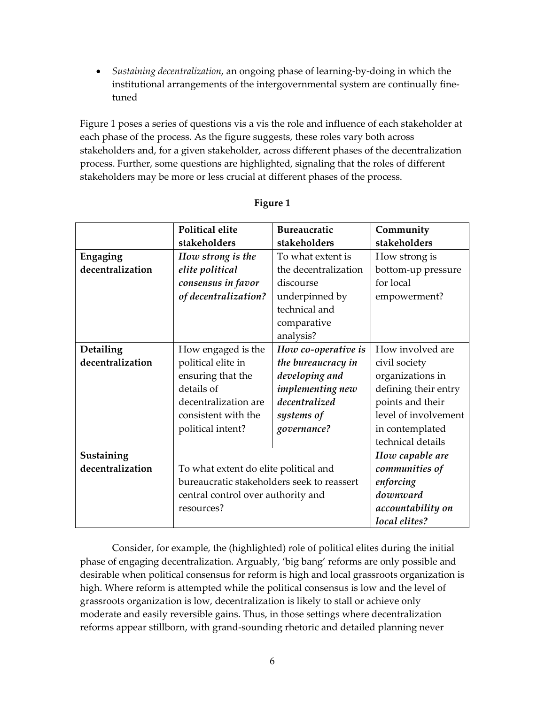• *Sustaining decentralization*, an ongoing phase of learning-by-doing in which the institutional arrangements of the intergovernmental system are continually finetuned

Figure 1 poses a series of questions vis a vis the role and influence of each stakeholder at each phase of the process. As the figure suggests, these roles vary both across stakeholders and, for a given stakeholder, across different phases of the decentralization process. Further, some questions are highlighted, signaling that the roles of different stakeholders may be more or less crucial at different phases of the process.

|                  | Political elite                            | <b>Bureaucratic</b>      | Community                                                                                                                |  |
|------------------|--------------------------------------------|--------------------------|--------------------------------------------------------------------------------------------------------------------------|--|
|                  | stakeholders                               | stakeholders             | stakeholders                                                                                                             |  |
| Engaging         | How strong is the                          | To what extent is        | How strong is                                                                                                            |  |
| decentralization | elite political                            | the decentralization     | bottom-up pressure<br>for local<br>empowerment?                                                                          |  |
|                  | consensus in favor                         | discourse                |                                                                                                                          |  |
|                  | of decentralization?                       | underpinned by           |                                                                                                                          |  |
|                  |                                            | technical and            |                                                                                                                          |  |
|                  |                                            | comparative<br>analysis? |                                                                                                                          |  |
| Detailing        | How engaged is the                         | How co-operative is      | How involved are                                                                                                         |  |
| decentralization | political elite in                         | the bureaucracy in       | civil society<br>organizations in<br>defining their entry<br>points and their<br>level of involvement<br>in contemplated |  |
|                  | ensuring that the                          | developing and           |                                                                                                                          |  |
|                  | details of                                 | <i>implementing new</i>  |                                                                                                                          |  |
|                  | decentralization are                       | decentralized            |                                                                                                                          |  |
|                  | consistent with the                        | systems of               |                                                                                                                          |  |
|                  | political intent?                          | governance?              |                                                                                                                          |  |
|                  |                                            |                          | technical details                                                                                                        |  |
| Sustaining       |                                            |                          | How capable are                                                                                                          |  |
| decentralization | To what extent do elite political and      | communities of           |                                                                                                                          |  |
|                  | bureaucratic stakeholders seek to reassert |                          |                                                                                                                          |  |
|                  | central control over authority and         | downward                 |                                                                                                                          |  |
|                  | resources?                                 | accountability on        |                                                                                                                          |  |
|                  |                                            |                          | local elites?                                                                                                            |  |

## **Figure 1**

Consider, for example, the (highlighted) role of political elites during the initial phase of engaging decentralization. Arguably, 'big bang' reforms are only possible and desirable when political consensus for reform is high and local grassroots organization is high. Where reform is attempted while the political consensus is low and the level of grassroots organization is low, decentralization is likely to stall or achieve only moderate and easily reversible gains. Thus, in those settings where decentralization reforms appear stillborn, with grand-sounding rhetoric and detailed planning never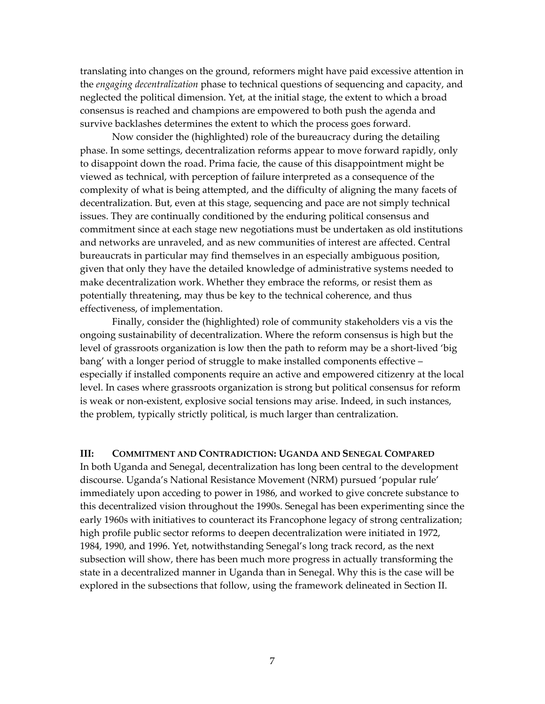translating into changes on the ground, reformers might have paid excessive attention in the *engaging decentralization* phase to technical questions of sequencing and capacity, and neglected the political dimension. Yet, at the initial stage, the extent to which a broad consensus is reached and champions are empowered to both push the agenda and survive backlashes determines the extent to which the process goes forward.

Now consider the (highlighted) role of the bureaucracy during the detailing phase. In some settings, decentralization reforms appear to move forward rapidly, only to disappoint down the road. Prima facie, the cause of this disappointment might be viewed as technical, with perception of failure interpreted as a consequence of the complexity of what is being attempted, and the difficulty of aligning the many facets of decentralization. But, even at this stage, sequencing and pace are not simply technical issues. They are continually conditioned by the enduring political consensus and commitment since at each stage new negotiations must be undertaken as old institutions and networks are unraveled, and as new communities of interest are affected. Central bureaucrats in particular may find themselves in an especially ambiguous position, given that only they have the detailed knowledge of administrative systems needed to make decentralization work. Whether they embrace the reforms, or resist them as potentially threatening, may thus be key to the technical coherence, and thus effectiveness, of implementation.

Finally, consider the (highlighted) role of community stakeholders vis a vis the ongoing sustainability of decentralization. Where the reform consensus is high but the level of grassroots organization is low then the path to reform may be a short-lived 'big bang' with a longer period of struggle to make installed components effective especially if installed components require an active and empowered citizenry at the local level. In cases where grassroots organization is strong but political consensus for reform is weak or non-existent, explosive social tensions may arise. Indeed, in such instances, the problem, typically strictly political, is much larger than centralization.

#### **III: COMMITMENT AND CONTRADICTION: UGANDA AND SENEGAL COMPARED**

In both Uganda and Senegal, decentralization has long been central to the development discourse. Uganda's National Resistance Movement (NRM) pursued 'popular rule' immediately upon acceding to power in 1986, and worked to give concrete substance to this decentralized vision throughout the 1990s. Senegal has been experimenting since the early 1960s with initiatives to counteract its Francophone legacy of strong centralization; high profile public sector reforms to deepen decentralization were initiated in 1972, 1984, 1990, and 1996. Yet, notwithstanding Senegal's long track record, as the next subsection will show, there has been much more progress in actually transforming the state in a decentralized manner in Uganda than in Senegal. Why this is the case will be explored in the subsections that follow, using the framework delineated in Section II.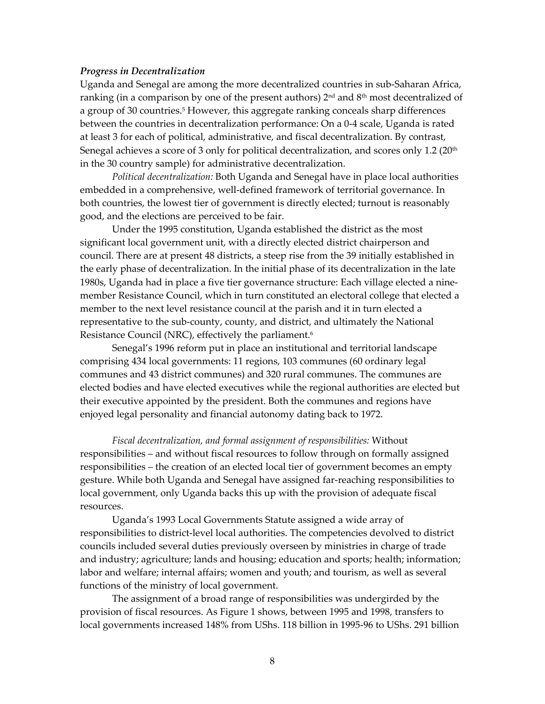#### *Progress in Decentralization*

Uganda and Senegal are among the more decentralized countries in sub-Saharan Africa, ranking (in a comparison by one of the present authors)  $2<sup>nd</sup>$  and  $8<sup>th</sup>$  most decentralized of a group of 30 countries.<sup>5</sup> However, this aggregate ranking conceals sharp differences between the countries in decentralization performance: On a 0-4 scale, Uganda is rated at least 3 for each of political, administrative, and fiscal decentralization. By contrast, Senegal achieves a score of 3 only for political decentralization, and scores only 1.2 ( $20<sup>th</sup>$ in the 30 country sample) for administrative decentralization.

*Political decentralization:* Both Uganda and Senegal have in place local authorities embedded in a comprehensive, well-defined framework of territorial governance. In both countries, the lowest tier of government is directly elected; turnout is reasonably good, and the elections are perceived to be fair.

Under the 1995 constitution, Uganda established the district as the most significant local government unit, with a directly elected district chairperson and council. There are at present 48 districts, a steep rise from the 39 initially established in the early phase of decentralization. In the initial phase of its decentralization in the late 1980s, Uganda had in place a five tier governance structure: Each village elected a ninemember Resistance Council, which in turn constituted an electoral college that elected a member to the next level resistance council at the parish and it in turn elected a representative to the sub-county, county, and district, and ultimately the National Resistance Council (NRC), effectively the parliament.<sup>6</sup>

Senegal's 1996 reform put in place an institutional and territorial landscape comprising 434 local governments: 11 regions, 103 communes (60 ordinary legal communes and 43 district communes) and 320 rural communes. The communes are elected bodies and have elected executives while the regional authorities are elected but their executive appointed by the president. Both the communes and regions have enjoyed legal personality and financial autonomy dating back to 1972.

*Fiscal decentralization, and formal assignment of responsibilities:* Without responsibilities – and without fiscal resources to follow through on formally assigned responsibilities – the creation of an elected local tier of government becomes an empty gesture. While both Uganda and Senegal have assigned far-reaching responsibilities to local government, only Uganda backs this up with the provision of adequate fiscal resources.

Ugandaís 1993 Local Governments Statute assigned a wide array of responsibilities to district-level local authorities. The competencies devolved to district councils included several duties previously overseen by ministries in charge of trade and industry; agriculture; lands and housing; education and sports; health; information; labor and welfare; internal affairs; women and youth; and tourism, as well as several functions of the ministry of local government.

The assignment of a broad range of responsibilities was undergirded by the provision of fiscal resources. As Figure 1 shows, between 1995 and 1998, transfers to local governments increased 148% from UShs. 118 billion in 1995-96 to UShs. 291 billion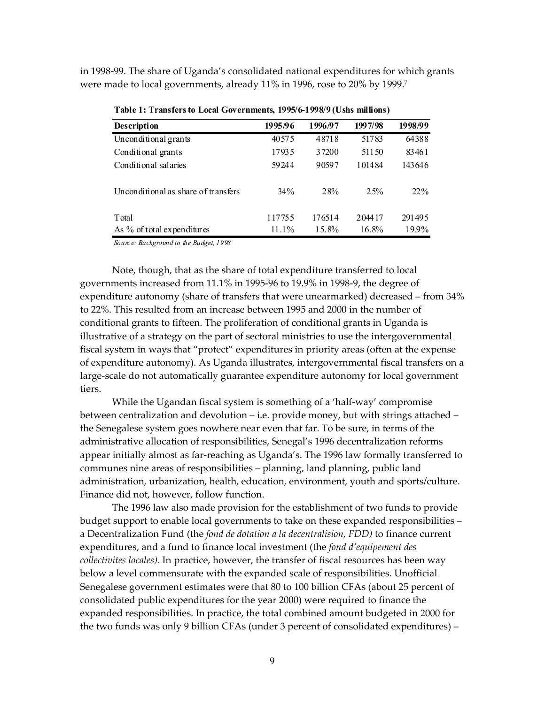in 1998-99. The share of Ugandaís consolidated national expenditures for which grants were made to local governments, already 11% in 1996, rose to 20% by 1999.[7](#page-34-7) 

| <b>Description</b>                  | 1995/96  | 1996/97 | 1997/98 | 1998/99 |
|-------------------------------------|----------|---------|---------|---------|
| Unconditional grants                | 40575    | 48718   | 51783   | 64388   |
| Conditional grants                  | 17935    | 37200   | 51150   | 83461   |
| Conditional salaries                | 59244    | 90597   | 101484  | 143646  |
| Unconditional as share of transfers | $34\%$   | 28%     | 25%     | 22%     |
| Total                               | 117755   | 176514  | 204417  | 291495  |
| As % of total expenditures          | $11.1\%$ | 15.8%   | 16.8%   | 19.9%   |

**Table 1: Transfers to Local Governments, 1995/6-1998/9 (Ushs millions)**

*Sourc e: Background to the Budget, 1998*

Note, though, that as the share of total expenditure transferred to local governments increased from 11.1% in 1995-96 to 19.9% in 1998-9, the degree of expenditure autonomy (share of transfers that were unearmarked) decreased  $-$  from 34% to 22%. This resulted from an increase between 1995 and 2000 in the number of conditional grants to fifteen. The proliferation of conditional grants in Uganda is illustrative of a strategy on the part of sectoral ministries to use the intergovernmental fiscal system in ways that "protect" expenditures in priority areas (often at the expense of expenditure autonomy). As Uganda illustrates, intergovernmental fiscal transfers on a large-scale do not automatically guarantee expenditure autonomy for local government tiers.

While the Ugandan fiscal system is something of a 'half-way' compromise between centralization and devolution  $-$  i.e. provide money, but with strings attached  $$ the Senegalese system goes nowhere near even that far. To be sure, in terms of the administrative allocation of responsibilities, Senegal's 1996 decentralization reforms appear initially almost as far-reaching as Uganda's. The 1996 law formally transferred to communes nine areas of responsibilities - planning, land planning, public land administration, urbanization, health, education, environment, youth and sports/culture. Finance did not, however, follow function.

The 1996 law also made provision for the establishment of two funds to provide budget support to enable local governments to take on these expanded responsibilities – a Decentralization Fund (the *fond de dotation a la decentralision, FDD)* to finance current expenditures, and a fund to finance local investment (the *fond díequipement des collectivites locales)*. In practice, however, the transfer of fiscal resources has been way below a level commensurate with the expanded scale of responsibilities. Unofficial Senegalese government estimates were that 80 to 100 billion CFAs (about 25 percent of consolidated public expenditures for the year 2000) were required to finance the expanded responsibilities. In practice, the total combined amount budgeted in 2000 for the two funds was only 9 billion CFAs (under 3 percent of consolidated expenditures)  $-$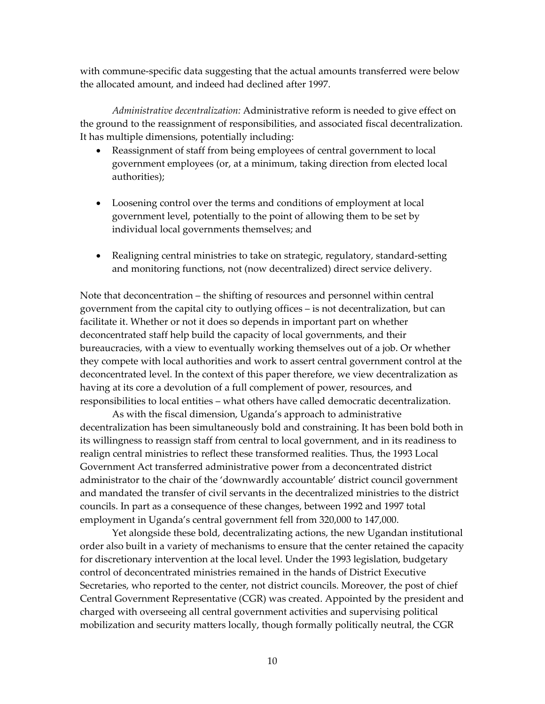with commune-specific data suggesting that the actual amounts transferred were below the allocated amount, and indeed had declined after 1997.

*Administrative decentralization:* Administrative reform is needed to give effect on the ground to the reassignment of responsibilities, and associated fiscal decentralization. It has multiple dimensions, potentially including:

- Reassignment of staff from being employees of central government to local government employees (or, at a minimum, taking direction from elected local authorities);
- Loosening control over the terms and conditions of employment at local government level, potentially to the point of allowing them to be set by individual local governments themselves; and
- Realigning central ministries to take on strategic, regulatory, standard-setting and monitoring functions, not (now decentralized) direct service delivery.

Note that deconcentration – the shifting of resources and personnel within central government from the capital city to outlying offices - is not decentralization, but can facilitate it. Whether or not it does so depends in important part on whether deconcentrated staff help build the capacity of local governments, and their bureaucracies, with a view to eventually working themselves out of a job. Or whether they compete with local authorities and work to assert central government control at the deconcentrated level. In the context of this paper therefore, we view decentralization as having at its core a devolution of a full complement of power, resources, and responsibilities to local entities - what others have called democratic decentralization.

As with the fiscal dimension, Uganda's approach to administrative decentralization has been simultaneously bold and constraining. It has been bold both in its willingness to reassign staff from central to local government, and in its readiness to realign central ministries to reflect these transformed realities. Thus, the 1993 Local Government Act transferred administrative power from a deconcentrated district administrator to the chair of the 'downwardly accountable' district council government and mandated the transfer of civil servants in the decentralized ministries to the district councils. In part as a consequence of these changes, between 1992 and 1997 total employment in Uganda's central government fell from 320,000 to 147,000.

Yet alongside these bold, decentralizating actions, the new Ugandan institutional order also built in a variety of mechanisms to ensure that the center retained the capacity for discretionary intervention at the local level. Under the 1993 legislation, budgetary control of deconcentrated ministries remained in the hands of District Executive Secretaries, who reported to the center, not district councils. Moreover, the post of chief Central Government Representative (CGR) was created. Appointed by the president and charged with overseeing all central government activities and supervising political mobilization and security matters locally, though formally politically neutral, the CGR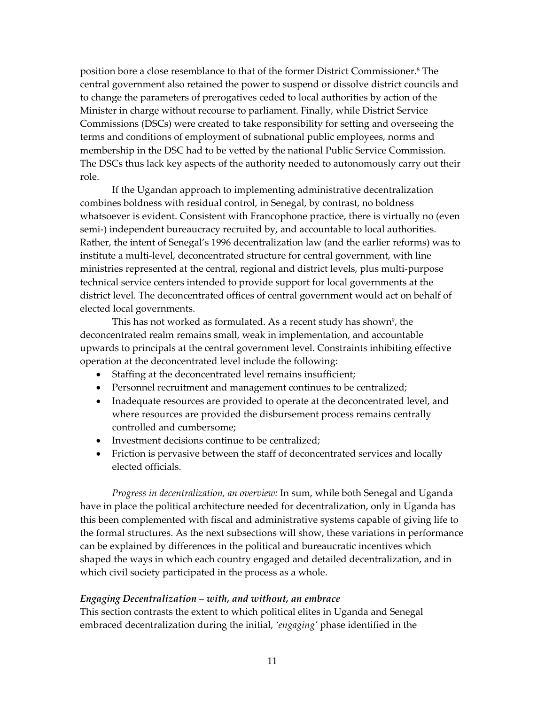position bore a close resemblance to that of the former District Commissioner.[8 T](#page-34-8)he central government also retained the power to suspend or dissolve district councils and to change the parameters of prerogatives ceded to local authorities by action of the Minister in charge without recourse to parliament. Finally, while District Service Commissions (DSCs) were created to take responsibility for setting and overseeing the terms and conditions of employment of subnational public employees, norms and membership in the DSC had to be vetted by the national Public Service Commission. The DSCs thus lack key aspects of the authority needed to autonomously carry out their role.

If the Ugandan approach to implementing administrative decentralization combines boldness with residual control, in Senegal, by contrast, no boldness whatsoever is evident. Consistent with Francophone practice, there is virtually no (even semi-) independent bureaucracy recruited by, and accountable to local authorities. Rather, the intent of Senegal's 1996 decentralization law (and the earlier reforms) was to institute a multi-level, deconcentrated structure for central government, with line ministries represented at the central, regional and district levels, plus multi-purpose technical service centers intended to provide support for local governments at the district level. The deconcentrated offices of central government would act on behalf of elected local governments.

This has not worked as formulated. As a recent study has shown<sup>9</sup>, the deconcentrated realm remains small, weak in implementation, and accountable upwards to principals at the central government level. Constraints inhibiting effective operation at the deconcentrated level include the following:

- Staffing at the deconcentrated level remains insufficient;
- Personnel recruitment and management continues to be centralized;
- Inadequate resources are provided to operate at the deconcentrated level, and where resources are provided the disbursement process remains centrally controlled and cumbersome;
- Investment decisions continue to be centralized;
- Friction is pervasive between the staff of deconcentrated services and locally elected officials.

*Progress in decentralization, an overview:* In sum, while both Senegal and Uganda have in place the political architecture needed for decentralization, only in Uganda has this been complemented with fiscal and administrative systems capable of giving life to the formal structures. As the next subsections will show, these variations in performance can be explained by differences in the political and bureaucratic incentives which shaped the ways in which each country engaged and detailed decentralization, and in which civil society participated in the process as a whole.

#### *Engaging Decentralization – with, and without, an embrace*

This section contrasts the extent to which political elites in Uganda and Senegal embraced decentralization during the initial, *ëengagingí* phase identified in the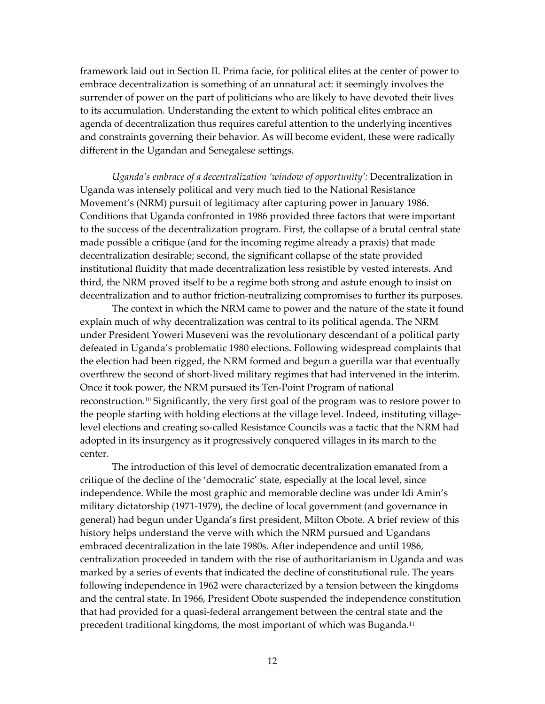framework laid out in Section II. Prima facie, for political elites at the center of power to embrace decentralization is something of an unnatural act: it seemingly involves the surrender of power on the part of politicians who are likely to have devoted their lives to its accumulation. Understanding the extent to which political elites embrace an agenda of decentralization thus requires careful attention to the underlying incentives and constraints governing their behavior. As will become evident, these were radically different in the Ugandan and Senegalese settings.

*Ugandaís embrace of a decentralization ëwindow of opportunityí:* Decentralization in Uganda was intensely political and very much tied to the National Resistance Movement's (NRM) pursuit of legitimacy after capturing power in January 1986. Conditions that Uganda confronted in 1986 provided three factors that were important to the success of the decentralization program. First, the collapse of a brutal central state made possible a critique (and for the incoming regime already a praxis) that made decentralization desirable; second, the significant collapse of the state provided institutional fluidity that made decentralization less resistible by vested interests. And third, the NRM proved itself to be a regime both strong and astute enough to insist on decentralization and to author friction-neutralizing compromises to further its purposes.

The context in which the NRM came to power and the nature of the state it found explain much of why decentralization was central to its political agenda. The NRM under President Yoweri Museveni was the revolutionary descendant of a political party defeated in Uganda's problematic 1980 elections. Following widespread complaints that the election had been rigged, the NRM formed and begun a guerilla war that eventually overthrew the second of short-lived military regimes that had intervened in the interim. Once it took power, the NRM pursued its Ten-Point Program of national reconstruction.[10](#page-34-10) Significantly, the very first goal of the program was to restore power to the people starting with holding elections at the village level. Indeed, instituting villagelevel elections and creating so-called Resistance Councils was a tactic that the NRM had adopted in its insurgency as it progressively conquered villages in its march to the center.

The introduction of this level of democratic decentralization emanated from a critique of the decline of the 'democratic' state, especially at the local level, since independence. While the most graphic and memorable decline was under Idi Amin's military dictatorship (1971-1979), the decline of local government (and governance in general) had begun under Uganda's first president, Milton Obote. A brief review of this history helps understand the verve with which the NRM pursued and Ugandans embraced decentralization in the late 1980s. After independence and until 1986, centralization proceeded in tandem with the rise of authoritarianism in Uganda and was marked by a series of events that indicated the decline of constitutional rule. The years following independence in 1962 were characterized by a tension between the kingdoms and the central state. In 1966, President Obote suspended the independence constitution that had provided for a quasi-federal arrangement between the central state and the precedent traditional kingdoms, the most important of which was Buganda.<sup>11</sup>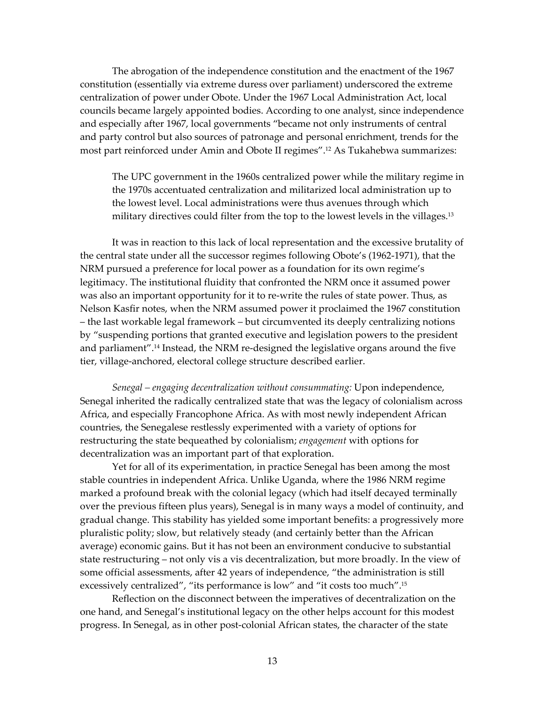The abrogation of the independence constitution and the enactment of the 1967 constitution (essentially via extreme duress over parliament) underscored the extreme centralization of power under Obote. Under the 1967 Local Administration Act, local councils became largely appointed bodies. According to one analyst, since independence and especially after 1967, local governments "became not only instruments of central and party control but also sources of patronage and personal enrichment, trends for the most part reinforced under Amin and Obote II regimes".<sup>12</sup> As Tukahebwa summarizes:

The UPC government in the 1960s centralized power while the military regime in the 1970s accentuated centralization and militarized local administration up to the lowest level. Local administrations were thus avenues through which military directives could filter from the top to the lowest levels in the villages.<sup>13</sup>

It was in reaction to this lack of local representation and the excessive brutality of the central state under all the successor regimes following Obote's (1962-1971), that the NRM pursued a preference for local power as a foundation for its own regime's legitimacy. The institutional fluidity that confronted the NRM once it assumed power was also an important opportunity for it to re-write the rules of state power. Thus, as Nelson Kasfir notes, when the NRM assumed power it proclaimed the 1967 constitution - the last workable legal framework - but circumvented its deeply centralizing notions by "suspending portions that granted executive and legislation powers to the president and parliament".<sup>14</sup> Instead, the NRM re-designed the legislative organs around the five tier, village-anchored, electoral college structure described earlier.

*Senegal – engaging decentralization without consummating: Upon independence,* Senegal inherited the radically centralized state that was the legacy of colonialism across Africa, and especially Francophone Africa. As with most newly independent African countries, the Senegalese restlessly experimented with a variety of options for restructuring the state bequeathed by colonialism; *engagement* with options for decentralization was an important part of that exploration.

Yet for all of its experimentation, in practice Senegal has been among the most stable countries in independent Africa. Unlike Uganda, where the 1986 NRM regime marked a profound break with the colonial legacy (which had itself decayed terminally over the previous fifteen plus years), Senegal is in many ways a model of continuity, and gradual change. This stability has yielded some important benefits: a progressively more pluralistic polity; slow, but relatively steady (and certainly better than the African average) economic gains. But it has not been an environment conducive to substantial state restructuring – not only vis a vis decentralization, but more broadly. In the view of some official assessments, after 42 years of independence, "the administration is still excessively centralized", "its performance is low" and "it costs too much".<sup>15</sup>

Reflection on the disconnect between the imperatives of decentralization on the one hand, and Senegal's institutional legacy on the other helps account for this modest progress. In Senegal, as in other post-colonial African states, the character of the state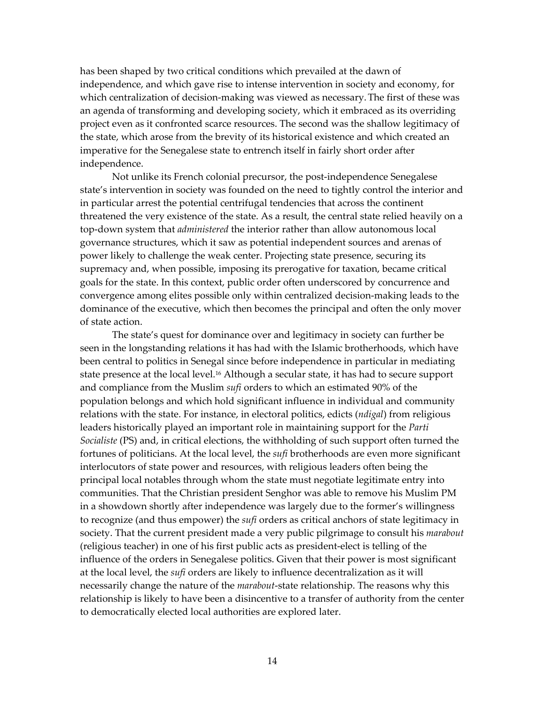has been shaped by two critical conditions which prevailed at the dawn of independence, and which gave rise to intense intervention in society and economy, for which centralization of decision-making was viewed as necessary.The first of these was an agenda of transforming and developing society, which it embraced as its overriding project even as it confronted scarce resources. The second was the shallow legitimacy of the state, which arose from the brevity of its historical existence and which created an imperative for the Senegalese state to entrench itself in fairly short order after independence.

Not unlike its French colonial precursor, the post-independence Senegalese state's intervention in society was founded on the need to tightly control the interior and in particular arrest the potential centrifugal tendencies that across the continent threatened the very existence of the state. As a result, the central state relied heavily on a top-down system that *administered* the interior rather than allow autonomous local governance structures, which it saw as potential independent sources and arenas of power likely to challenge the weak center. Projecting state presence, securing its supremacy and, when possible, imposing its prerogative for taxation, became critical goals for the state. In this context, public order often underscored by concurrence and convergence among elites possible only within centralized decision-making leads to the dominance of the executive, which then becomes the principal and often the only mover of state action.

The state's quest for dominance over and legitimacy in society can further be seen in the longstanding relations it has had with the Islamic brotherhoods, which have been central to politics in Senegal since before independence in particular in mediating state presence at the local level.<sup>16</sup> Although a secular state, it has had to secure support and compliance from the Muslim *sufi* orders to which an estimated 90% of the population belongs and which hold significant influence in individual and community relations with the state. For instance, in electoral politics, edicts (*ndigal*) from religious leaders historically played an important role in maintaining support for the *Parti Socialiste* (PS) and, in critical elections, the withholding of such support often turned the fortunes of politicians. At the local level, the *sufi* brotherhoods are even more significant interlocutors of state power and resources, with religious leaders often being the principal local notables through whom the state must negotiate legitimate entry into communities. That the Christian president Senghor was able to remove his Muslim PM in a showdown shortly after independence was largely due to the formerís willingness to recognize (and thus empower) the *sufi* orders as critical anchors of state legitimacy in society. That the current president made a very public pilgrimage to consult his *marabout* (religious teacher) in one of his first public acts as president-elect is telling of the influence of the orders in Senegalese politics. Given that their power is most significant at the local level, the *sufi* orders are likely to influence decentralization as it will necessarily change the nature of the *marabout*-state relationship. The reasons why this relationship is likely to have been a disincentive to a transfer of authority from the center to democratically elected local authorities are explored later.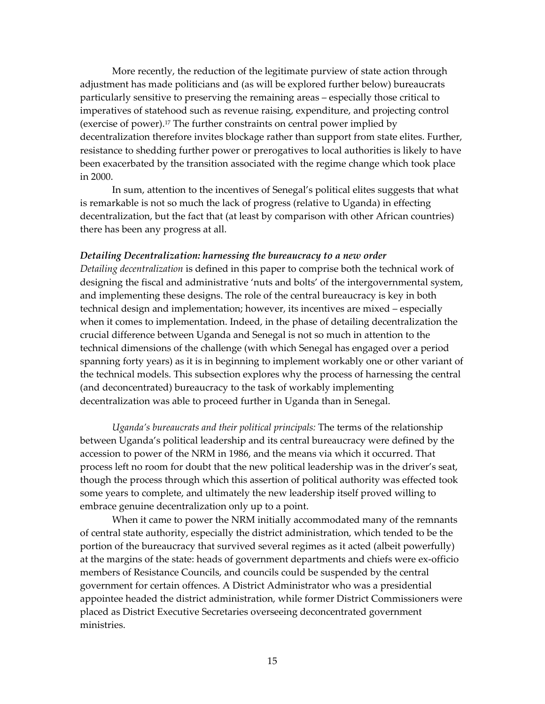More recently, the reduction of the legitimate purview of state action through adjustment has made politicians and (as will be explored further below) bureaucrats particularly sensitive to preserving the remaining areas – especially those critical to imperatives of statehood such as revenue raising, expenditure, and projecting control (exercise of power)[.17 T](#page-34-17)he further constraints on central power implied by decentralization therefore invites blockage rather than support from state elites. Further, resistance to shedding further power or prerogatives to local authorities is likely to have been exacerbated by the transition associated with the regime change which took place in 2000.

In sum, attention to the incentives of Senegal's political elites suggests that what is remarkable is not so much the lack of progress (relative to Uganda) in effecting decentralization, but the fact that (at least by comparison with other African countries) there has been any progress at all.

### *Detailing Decentralization: harnessing the bureaucracy to a new order*

*Detailing decentralization* is defined in this paper to comprise both the technical work of designing the fiscal and administrative 'nuts and bolts' of the intergovernmental system, and implementing these designs. The role of the central bureaucracy is key in both technical design and implementation; however, its incentives are mixed – especially when it comes to implementation. Indeed, in the phase of detailing decentralization the crucial difference between Uganda and Senegal is not so much in attention to the technical dimensions of the challenge (with which Senegal has engaged over a period spanning forty years) as it is in beginning to implement workably one or other variant of the technical models. This subsection explores why the process of harnessing the central (and deconcentrated) bureaucracy to the task of workably implementing decentralization was able to proceed further in Uganda than in Senegal.

*Ugandaís bureaucrats and their political principals:* The terms of the relationship between Ugandaís political leadership and its central bureaucracy were defined by the accession to power of the NRM in 1986, and the means via which it occurred. That process left no room for doubt that the new political leadership was in the driver's seat, though the process through which this assertion of political authority was effected took some years to complete, and ultimately the new leadership itself proved willing to embrace genuine decentralization only up to a point.

When it came to power the NRM initially accommodated many of the remnants of central state authority, especially the district administration, which tended to be the portion of the bureaucracy that survived several regimes as it acted (albeit powerfully) at the margins of the state: heads of government departments and chiefs were ex-officio members of Resistance Councils, and councils could be suspended by the central government for certain offences. A District Administrator who was a presidential appointee headed the district administration, while former District Commissioners were placed as District Executive Secretaries overseeing deconcentrated government ministries.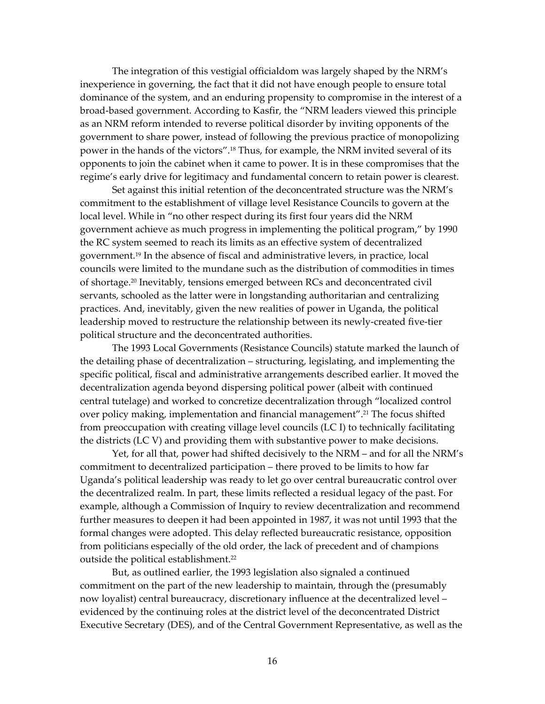The integration of this vestigial officialdom was largely shaped by the NRMís inexperience in governing, the fact that it did not have enough people to ensure total dominance of the system, and an enduring propensity to compromise in the interest of a broad-based government. According to Kasfir, the "NRM leaders viewed this principle as an NRM reform intended to reverse political disorder by inviting opponents of the government to share power, instead of following the previous practice of monopolizing power in the hands of the victors".<sup>18</sup> Thus, for example, the NRM invited several of its opponents to join the cabinet when it came to power. It is in these compromises that the regime's early drive for legitimacy and fundamental concern to retain power is clearest.

Set against this initial retention of the deconcentrated structure was the NRM's commitment to the establishment of village level Resistance Councils to govern at the local level. While in "no other respect during its first four years did the NRM government achieve as much progress in implementing the political program," by 1990 the RC system seemed to reach its limits as an effective system of decentralized government[.19 I](#page-34-19)n the absence of fiscal and administrative levers, in practice, local councils were limited to the mundane such as the distribution of commodities in times of shortage[.20 I](#page-34-20)nevitably, tensions emerged between RCs and deconcentrated civil servants, schooled as the latter were in longstanding authoritarian and centralizing practices. And, inevitably, given the new realities of power in Uganda, the political leadership moved to restructure the relationship between its newly-created five-tier political structure and the deconcentrated authorities.

The 1993 Local Governments (Resistance Councils) statute marked the launch of the detailing phase of decentralization - structuring, legislating, and implementing the specific political, fiscal and administrative arrangements described earlier. It moved the decentralization agenda beyond dispersing political power (albeit with continued central tutelage) and worked to concretize decentralization through "localized control over policy making, implementation and financial management".<sup>21</sup> The focus shifted from preoccupation with creating village level councils (LC I) to technically facilitating the districts (LC V) and providing them with substantive power to make decisions.

Yet, for all that, power had shifted decisively to the NRM - and for all the NRM's commitment to decentralized participation – there proved to be limits to how far Uganda's political leadership was ready to let go over central bureaucratic control over the decentralized realm. In part, these limits reflected a residual legacy of the past. For example, although a Commission of Inquiry to review decentralization and recommend further measures to deepen it had been appointed in 1987, it was not until 1993 that the formal changes were adopted. This delay reflected bureaucratic resistance, opposition from politicians especially of the old order, the lack of precedent and of champions outside the political establishment.<sup>22</sup>

But, as outlined earlier, the 1993 legislation also signaled a continued commitment on the part of the new leadership to maintain, through the (presumably now loyalist) central bureaucracy, discretionary influence at the decentralized level – evidenced by the continuing roles at the district level of the deconcentrated District Executive Secretary (DES), and of the Central Government Representative, as well as the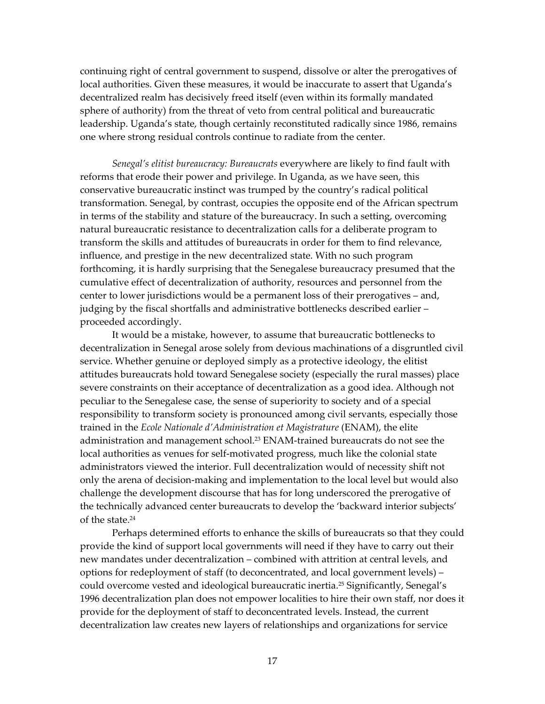continuing right of central government to suspend, dissolve or alter the prerogatives of local authorities. Given these measures, it would be inaccurate to assert that Uganda's decentralized realm has decisively freed itself (even within its formally mandated sphere of authority) from the threat of veto from central political and bureaucratic leadership. Uganda's state, though certainly reconstituted radically since 1986, remains one where strong residual controls continue to radiate from the center.

*Senegalís elitist bureaucracy: Bureaucrats* everywhere are likely to find fault with reforms that erode their power and privilege. In Uganda, as we have seen, this conservative bureaucratic instinct was trumped by the country's radical political transformation. Senegal, by contrast, occupies the opposite end of the African spectrum in terms of the stability and stature of the bureaucracy. In such a setting, overcoming natural bureaucratic resistance to decentralization calls for a deliberate program to transform the skills and attitudes of bureaucrats in order for them to find relevance, influence, and prestige in the new decentralized state. With no such program forthcoming, it is hardly surprising that the Senegalese bureaucracy presumed that the cumulative effect of decentralization of authority, resources and personnel from the center to lower jurisdictions would be a permanent loss of their prerogatives – and, judging by the fiscal shortfalls and administrative bottlenecks described earlier proceeded accordingly.

It would be a mistake, however, to assume that bureaucratic bottlenecks to decentralization in Senegal arose solely from devious machinations of a disgruntled civil service. Whether genuine or deployed simply as a protective ideology, the elitist attitudes bureaucrats hold toward Senegalese society (especially the rural masses) place severe constraints on their acceptance of decentralization as a good idea. Although not peculiar to the Senegalese case, the sense of superiority to society and of a special responsibility to transform society is pronounced among civil servants, especially those trained in the *Ecole Nationale díAdministration et Magistrature* (ENAM), the elite administration and management school.<sup>23</sup> ENAM-trained bureaucrats do not see the local authorities as venues for self-motivated progress, much like the colonial state administrators viewed the interior. Full decentralization would of necessity shift not only the arena of decision-making and implementation to the local level but would also challenge the development discourse that has for long underscored the prerogative of the technically advanced center bureaucrats to develop the 'backward interior subjects' of the state.[24](#page-34-24) 

Perhaps determined efforts to enhance the skills of bureaucrats so that they could provide the kind of support local governments will need if they have to carry out their new mandates under decentralization – combined with attrition at central levels, and options for redeployment of staff (to deconcentrated, and local government levels) – could overcome vested and ideological bureaucratic inertia.<sup>25</sup> Significantly, Senegal's 1996 decentralization plan does not empower localities to hire their own staff, nor does it provide for the deployment of staff to deconcentrated levels. Instead, the current decentralization law creates new layers of relationships and organizations for service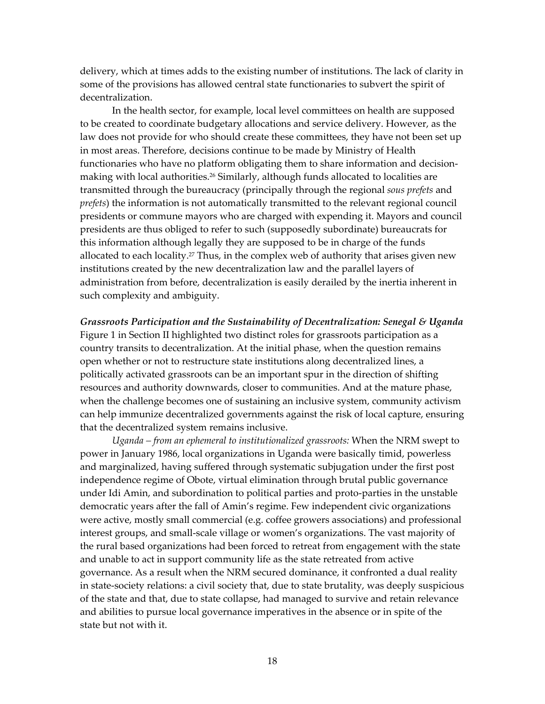delivery, which at times adds to the existing number of institutions. The lack of clarity in some of the provisions has allowed central state functionaries to subvert the spirit of decentralization.

In the health sector, for example, local level committees on health are supposed to be created to coordinate budgetary allocations and service delivery. However, as the law does not provide for who should create these committees, they have not been set up in most areas. Therefore, decisions continue to be made by Ministry of Health functionaries who have no platform obligating them to share information and decisionmaking with local authorities.<sup>26</sup> Similarly, although funds allocated to localities are transmitted through the bureaucracy (principally through the regional *sous prefets* and *prefets*) the information is not automatically transmitted to the relevant regional council presidents or commune mayors who are charged with expending it. Mayors and council presidents are thus obliged to refer to such (supposedly subordinate) bureaucrats for this information although legally they are supposed to be in charge of the funds allocated to each locality[.27 T](#page-34-27)hus, in the complex web of authority that arises given new institutions created by the new decentralization law and the parallel layers of administration from before, decentralization is easily derailed by the inertia inherent in such complexity and ambiguity.

*Grassroots Participation and the Sustainability of Decentralization: Senegal & Uganda*  Figure 1 in Section II highlighted two distinct roles for grassroots participation as a country transits to decentralization. At the initial phase, when the question remains open whether or not to restructure state institutions along decentralized lines, a politically activated grassroots can be an important spur in the direction of shifting resources and authority downwards, closer to communities. And at the mature phase, when the challenge becomes one of sustaining an inclusive system, community activism can help immunize decentralized governments against the risk of local capture, ensuring that the decentralized system remains inclusive.

*Uganda – from an ephemeral to institutionalized grassroots: When the NRM swept to* power in January 1986, local organizations in Uganda were basically timid, powerless and marginalized, having suffered through systematic subjugation under the first post independence regime of Obote, virtual elimination through brutal public governance under Idi Amin, and subordination to political parties and proto-parties in the unstable democratic years after the fall of Amin's regime. Few independent civic organizations were active, mostly small commercial (e.g. coffee growers associations) and professional interest groups, and small-scale village or women's organizations. The vast majority of the rural based organizations had been forced to retreat from engagement with the state and unable to act in support community life as the state retreated from active governance. As a result when the NRM secured dominance, it confronted a dual reality in state-society relations: a civil society that, due to state brutality, was deeply suspicious of the state and that, due to state collapse, had managed to survive and retain relevance and abilities to pursue local governance imperatives in the absence or in spite of the state but not with it.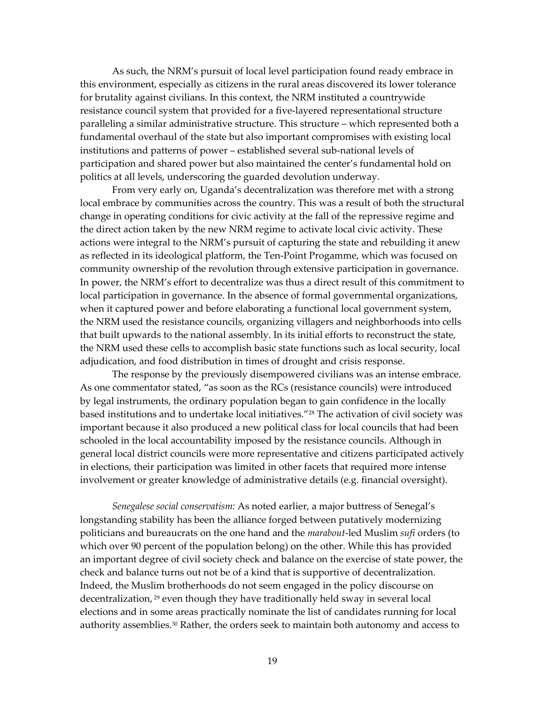As such, the NRMís pursuit of local level participation found ready embrace in this environment, especially as citizens in the rural areas discovered its lower tolerance for brutality against civilians. In this context, the NRM instituted a countrywide resistance council system that provided for a five-layered representational structure paralleling a similar administrative structure. This structure – which represented both a fundamental overhaul of the state but also important compromises with existing local institutions and patterns of power - established several sub-national levels of participation and shared power but also maintained the center's fundamental hold on politics at all levels, underscoring the guarded devolution underway.

From very early on, Uganda's decentralization was therefore met with a strong local embrace by communities across the country. This was a result of both the structural change in operating conditions for civic activity at the fall of the repressive regime and the direct action taken by the new NRM regime to activate local civic activity. These actions were integral to the NRM's pursuit of capturing the state and rebuilding it anew as reflected in its ideological platform, the Ten-Point Progamme, which was focused on community ownership of the revolution through extensive participation in governance. In power, the NRMís effort to decentralize was thus a direct result of this commitment to local participation in governance. In the absence of formal governmental organizations, when it captured power and before elaborating a functional local government system, the NRM used the resistance councils, organizing villagers and neighborhoods into cells that built upwards to the national assembly. In its initial efforts to reconstruct the state, the NRM used these cells to accomplish basic state functions such as local security, local adjudication, and food distribution in times of drought and crisis response.

The response by the previously disempowered civilians was an intense embrace. As one commentator stated, "as soon as the RCs (resistance councils) were introduced by legal instruments, the ordinary population began to gain confidence in the locally based institutions and to undertake local initiatives.<sup>"28</sup> The activation of civil society was important because it also produced a new political class for local councils that had been schooled in the local accountability imposed by the resistance councils. Although in general local district councils were more representative and citizens participated actively in elections, their participation was limited in other facets that required more intense involvement or greater knowledge of administrative details (e.g. financial oversight).

*Senegalese social conservatism:* As noted earlier, a major buttress of Senegalís longstanding stability has been the alliance forged between putatively modernizing politicians and bureaucrats on the one hand and the *marabout*-led Muslim *sufi* orders (to which over 90 percent of the population belong) on the other. While this has provided an important degree of civil society check and balance on the exercise of state power, the check and balance turns out not be of a kind that is supportive of decentralization. Indeed, the Muslim brotherhoods do not seem engaged in the policy discourse on decentralization, [29 e](#page-34-29)ven though they have traditionally held sway in several local elections and in some areas practically nominate the list of candidates running for local authority assemblies.[30 R](#page-34-30)ather, the orders seek to maintain both autonomy and access to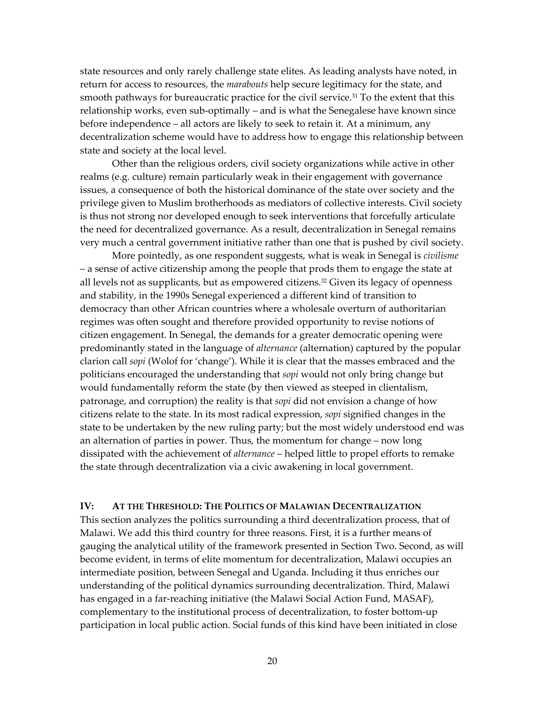state resources and only rarely challenge state elites. As leading analysts have noted, in return for access to resources, the *marabouts* help secure legitimacy for the state, and smooth pathways for bureaucratic practice for the civil service.<sup>31</sup> To the extent that this relationship works, even sub-optimally – and is what the Senegalese have known since before independence – all actors are likely to seek to retain it. At a minimum, any decentralization scheme would have to address how to engage this relationship between state and society at the local level.

Other than the religious orders, civil society organizations while active in other realms (e.g. culture) remain particularly weak in their engagement with governance issues, a consequence of both the historical dominance of the state over society and the privilege given to Muslim brotherhoods as mediators of collective interests. Civil society is thus not strong nor developed enough to seek interventions that forcefully articulate the need for decentralized governance. As a result, decentralization in Senegal remains very much a central government initiative rather than one that is pushed by civil society.

More pointedly, as one respondent suggests, what is weak in Senegal is *civilisme* - a sense of active citizenship among the people that prods them to engage the state at all levels not as supplicants, but as empowered citizens.<sup>32</sup> Given its legacy of openness and stability, in the 1990s Senegal experienced a different kind of transition to democracy than other African countries where a wholesale overturn of authoritarian regimes was often sought and therefore provided opportunity to revise notions of citizen engagement. In Senegal, the demands for a greater democratic opening were predominantly stated in the language of *alternance* (alternation) captured by the popular clarion call *sopi* (Wolof for 'change'). While it is clear that the masses embraced and the politicians encouraged the understanding that *sopi* would not only bring change but would fundamentally reform the state (by then viewed as steeped in clientalism, patronage, and corruption) the reality is that *sopi* did not envision a change of how citizens relate to the state. In its most radical expression, *sopi* signified changes in the state to be undertaken by the new ruling party; but the most widely understood end was an alternation of parties in power. Thus, the momentum for change  $-$  now long dissipated with the achievement of *alternance* – helped little to propel efforts to remake the state through decentralization via a civic awakening in local government.

### **IV: AT THE THRESHOLD: THE POLITICS OF MALAWIAN DECENTRALIZATION**

This section analyzes the politics surrounding a third decentralization process, that of Malawi. We add this third country for three reasons. First, it is a further means of gauging the analytical utility of the framework presented in Section Two. Second, as will become evident, in terms of elite momentum for decentralization, Malawi occupies an intermediate position, between Senegal and Uganda. Including it thus enriches our understanding of the political dynamics surrounding decentralization. Third, Malawi has engaged in a far-reaching initiative (the Malawi Social Action Fund, MASAF), complementary to the institutional process of decentralization, to foster bottom-up participation in local public action. Social funds of this kind have been initiated in close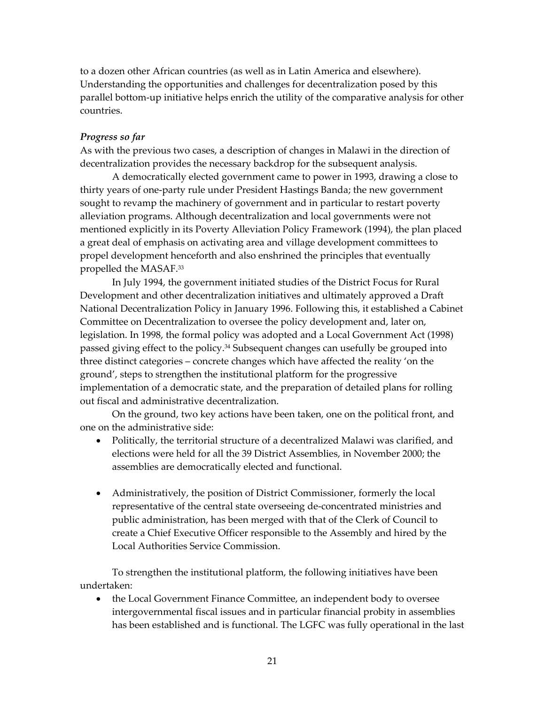to a dozen other African countries (as well as in Latin America and elsewhere). Understanding the opportunities and challenges for decentralization posed by this parallel bottom-up initiative helps enrich the utility of the comparative analysis for other countries.

### *Progress so far*

As with the previous two cases, a description of changes in Malawi in the direction of decentralization provides the necessary backdrop for the subsequent analysis.

A democratically elected government came to power in 1993, drawing a close to thirty years of one-party rule under President Hastings Banda; the new government sought to revamp the machinery of government and in particular to restart poverty alleviation programs. Although decentralization and local governments were not mentioned explicitly in its Poverty Alleviation Policy Framework (1994), the plan placed a great deal of emphasis on activating area and village development committees to propel development henceforth and also enshrined the principles that eventually propelled the MASAF[.33](#page-34-33) 

In July 1994, the government initiated studies of the District Focus for Rural Development and other decentralization initiatives and ultimately approved a Draft National Decentralization Policy in January 1996. Following this, it established a Cabinet Committee on Decentralization to oversee the policy development and, later on, legislation. In 1998, the formal policy was adopted and a Local Government Act (1998) passed giving effect to the policy.<sup>34</sup> Subsequent changes can usefully be grouped into three distinct categories – concrete changes which have affected the reality 'on the ground', steps to strengthen the institutional platform for the progressive implementation of a democratic state, and the preparation of detailed plans for rolling out fiscal and administrative decentralization.

On the ground, two key actions have been taken, one on the political front, and one on the administrative side:

- Politically, the territorial structure of a decentralized Malawi was clarified, and elections were held for all the 39 District Assemblies, in November 2000; the assemblies are democratically elected and functional.
- Administratively, the position of District Commissioner, formerly the local representative of the central state overseeing de-concentrated ministries and public administration, has been merged with that of the Clerk of Council to create a Chief Executive Officer responsible to the Assembly and hired by the Local Authorities Service Commission.

To strengthen the institutional platform, the following initiatives have been undertaken:

• the Local Government Finance Committee, an independent body to oversee intergovernmental fiscal issues and in particular financial probity in assemblies has been established and is functional. The LGFC was fully operational in the last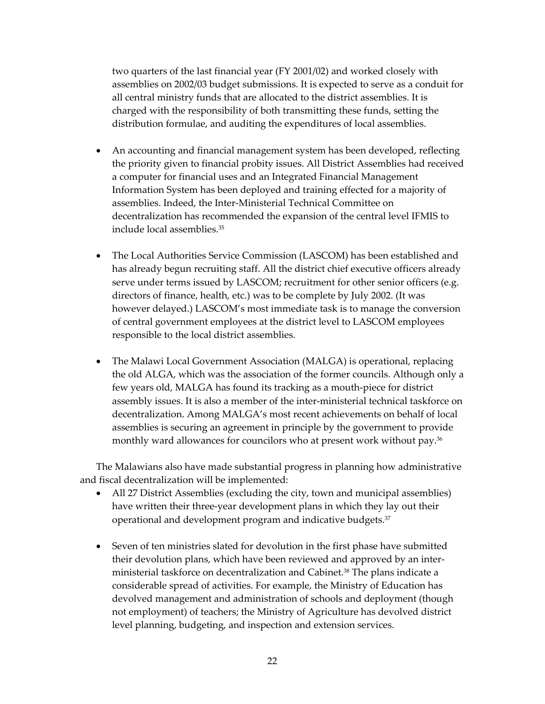two quarters of the last financial year (FY 2001/02) and worked closely with assemblies on 2002/03 budget submissions. It is expected to serve as a conduit for all central ministry funds that are allocated to the district assemblies. It is charged with the responsibility of both transmitting these funds, setting the distribution formulae, and auditing the expenditures of local assemblies.

- An accounting and financial management system has been developed, reflecting the priority given to financial probity issues. All District Assemblies had received a computer for financial uses and an Integrated Financial Management Information System has been deployed and training effected for a majority of assemblies. Indeed, the Inter-Ministerial Technical Committee on decentralization has recommended the expansion of the central level IFMIS to include local assemblies.[35](#page-34-35)
- The Local Authorities Service Commission (LASCOM) has been established and has already begun recruiting staff. All the district chief executive officers already serve under terms issued by LASCOM; recruitment for other senior officers (e.g. directors of finance, health, etc.) was to be complete by July 2002. (It was however delayed.) LASCOM's most immediate task is to manage the conversion of central government employees at the district level to LASCOM employees responsible to the local district assemblies.
- The Malawi Local Government Association (MALGA) is operational, replacing the old ALGA, which was the association of the former councils. Although only a few years old, MALGA has found its tracking as a mouth-piece for district assembly issues. It is also a member of the inter-ministerial technical taskforce on decentralization. Among MALGA's most recent achievements on behalf of local assemblies is securing an agreement in principle by the government to provide monthly ward allowances for councilors who at present work without pay.<sup>[36](#page-34-36)</sup>

The Malawians also have made substantial progress in planning how administrative and fiscal decentralization will be implemented:

- All 27 District Assemblies (excluding the city, town and municipal assemblies) have written their three-year development plans in which they lay out their operational and development program and indicative budgets.[37](#page-34-37)
- Seven of ten ministries slated for devolution in the first phase have submitted their devolution plans, which have been reviewed and approved by an interministerial taskforce on decentralization and Cabinet[.38 T](#page-34-38)he plans indicate a considerable spread of activities. For example, the Ministry of Education has devolved management and administration of schools and deployment (though not employment) of teachers; the Ministry of Agriculture has devolved district level planning, budgeting, and inspection and extension services.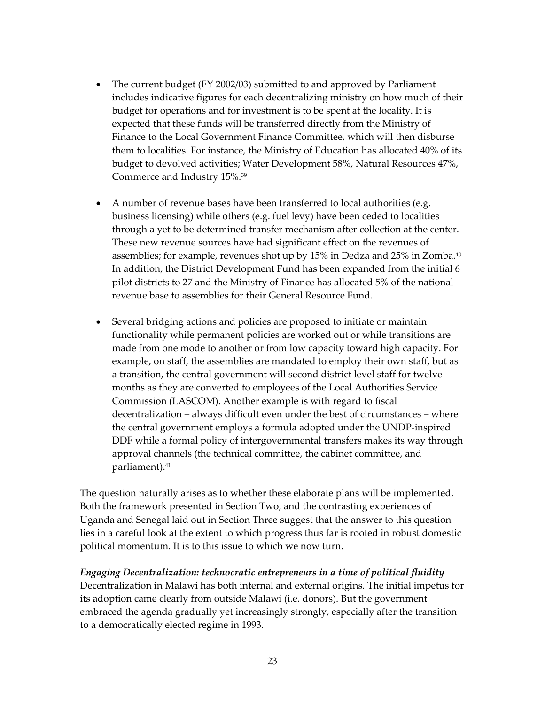- The current budget (FY 2002/03) submitted to and approved by Parliament includes indicative figures for each decentralizing ministry on how much of their budget for operations and for investment is to be spent at the locality. It is expected that these funds will be transferred directly from the Ministry of Finance to the Local Government Finance Committee, which will then disburse them to localities. For instance, the Ministry of Education has allocated 40% of its budget to devolved activities; Water Development 58%, Natural Resources 47%, Commerce and Industry 15%[.39](#page-34-39)
- A number of revenue bases have been transferred to local authorities (e.g. business licensing) while others (e.g. fuel levy) have been ceded to localities through a yet to be determined transfer mechanism after collection at the center. These new revenue sources have had significant effect on the revenues of assemblies; for example, revenues shot up by 15% in Dedza and 25% in Zomba[.40](#page-34-40) In addition, the District Development Fund has been expanded from the initial 6 pilot districts to 27 and the Ministry of Finance has allocated 5% of the national revenue base to assemblies for their General Resource Fund.
- Several bridging actions and policies are proposed to initiate or maintain functionality while permanent policies are worked out or while transitions are made from one mode to another or from low capacity toward high capacity. For example, on staff, the assemblies are mandated to employ their own staff, but as a transition, the central government will second district level staff for twelve months as they are converted to employees of the Local Authorities Service Commission (LASCOM). Another example is with regard to fiscal decentralization – always difficult even under the best of circumstances – where the central government employs a formula adopted under the UNDP-inspired DDF while a formal policy of intergovernmental transfers makes its way through approval channels (the technical committee, the cabinet committee, and parliament).<sup>41</sup>

The question naturally arises as to whether these elaborate plans will be implemented. Both the framework presented in Section Two, and the contrasting experiences of Uganda and Senegal laid out in Section Three suggest that the answer to this question lies in a careful look at the extent to which progress thus far is rooted in robust domestic political momentum. It is to this issue to which we now turn.

## *Engaging Decentralization: technocratic entrepreneurs in a time of political fluidity*

Decentralization in Malawi has both internal and external origins. The initial impetus for its adoption came clearly from outside Malawi (i.e. donors). But the government embraced the agenda gradually yet increasingly strongly, especially after the transition to a democratically elected regime in 1993.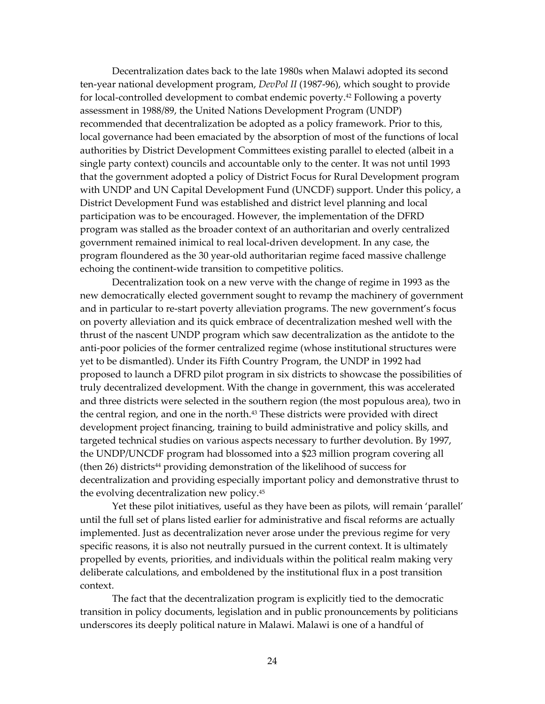Decentralization dates back to the late 1980s when Malawi adopted its second ten-year national development program, *DevPol II* (1987-96), which sought to provide for local-controlled development to combat endemic poverty.<sup>42</sup> Following a poverty assessment in 1988/89, the United Nations Development Program (UNDP) recommended that decentralization be adopted as a policy framework. Prior to this, local governance had been emaciated by the absorption of most of the functions of local authorities by District Development Committees existing parallel to elected (albeit in a single party context) councils and accountable only to the center. It was not until 1993 that the government adopted a policy of District Focus for Rural Development program with UNDP and UN Capital Development Fund (UNCDF) support. Under this policy, a District Development Fund was established and district level planning and local participation was to be encouraged. However, the implementation of the DFRD program was stalled as the broader context of an authoritarian and overly centralized government remained inimical to real local-driven development. In any case, the program floundered as the 30 year-old authoritarian regime faced massive challenge echoing the continent-wide transition to competitive politics.

Decentralization took on a new verve with the change of regime in 1993 as the new democratically elected government sought to revamp the machinery of government and in particular to re-start poverty alleviation programs. The new government's focus on poverty alleviation and its quick embrace of decentralization meshed well with the thrust of the nascent UNDP program which saw decentralization as the antidote to the anti-poor policies of the former centralized regime (whose institutional structures were yet to be dismantled). Under its Fifth Country Program, the UNDP in 1992 had proposed to launch a DFRD pilot program in six districts to showcase the possibilities of truly decentralized development. With the change in government, this was accelerated and three districts were selected in the southern region (the most populous area), two in the central region, and one in the north.[43 T](#page-34-43)hese districts were provided with direct development project financing, training to build administrative and policy skills, and targeted technical studies on various aspects necessary to further devolution. By 1997, the UNDP/UNCDF program had blossomed into a \$23 million program covering all  $($ then 26 $)$  districts<sup>44</sup> providing demonstration of the likelihood of success for decentralization and providing especially important policy and demonstrative thrust to the evolving decentralization new policy[.45](#page-34-45) 

Yet these pilot initiatives, useful as they have been as pilots, will remain 'parallel' until the full set of plans listed earlier for administrative and fiscal reforms are actually implemented. Just as decentralization never arose under the previous regime for very specific reasons, it is also not neutrally pursued in the current context. It is ultimately propelled by events, priorities, and individuals within the political realm making very deliberate calculations, and emboldened by the institutional flux in a post transition context.

The fact that the decentralization program is explicitly tied to the democratic transition in policy documents, legislation and in public pronouncements by politicians underscores its deeply political nature in Malawi. Malawi is one of a handful of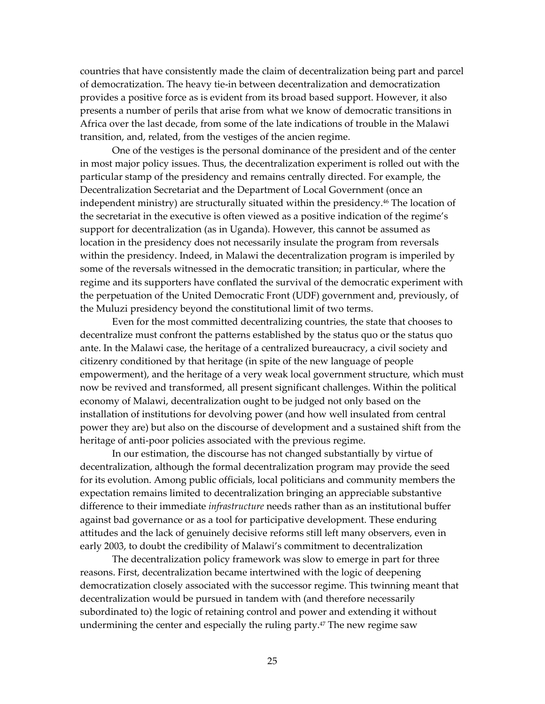countries that have consistently made the claim of decentralization being part and parcel of democratization. The heavy tie-in between decentralization and democratization provides a positive force as is evident from its broad based support. However, it also presents a number of perils that arise from what we know of democratic transitions in Africa over the last decade, from some of the late indications of trouble in the Malawi transition, and, related, from the vestiges of the ancien regime.

One of the vestiges is the personal dominance of the president and of the center in most major policy issues. Thus, the decentralization experiment is rolled out with the particular stamp of the presidency and remains centrally directed. For example, the Decentralization Secretariat and the Department of Local Government (once an independent ministry) are structurally situated within the presidency.[46 T](#page-34-46)he location of the secretariat in the executive is often viewed as a positive indication of the regime's support for decentralization (as in Uganda). However, this cannot be assumed as location in the presidency does not necessarily insulate the program from reversals within the presidency. Indeed, in Malawi the decentralization program is imperiled by some of the reversals witnessed in the democratic transition; in particular, where the regime and its supporters have conflated the survival of the democratic experiment with the perpetuation of the United Democratic Front (UDF) government and, previously, of the Muluzi presidency beyond the constitutional limit of two terms.

Even for the most committed decentralizing countries, the state that chooses to decentralize must confront the patterns established by the status quo or the status quo ante. In the Malawi case, the heritage of a centralized bureaucracy, a civil society and citizenry conditioned by that heritage (in spite of the new language of people empowerment), and the heritage of a very weak local government structure, which must now be revived and transformed, all present significant challenges. Within the political economy of Malawi, decentralization ought to be judged not only based on the installation of institutions for devolving power (and how well insulated from central power they are) but also on the discourse of development and a sustained shift from the heritage of anti-poor policies associated with the previous regime.

In our estimation, the discourse has not changed substantially by virtue of decentralization, although the formal decentralization program may provide the seed for its evolution. Among public officials, local politicians and community members the expectation remains limited to decentralization bringing an appreciable substantive difference to their immediate *infrastructure* needs rather than as an institutional buffer against bad governance or as a tool for participative development. These enduring attitudes and the lack of genuinely decisive reforms still left many observers, even in early 2003, to doubt the credibility of Malawi's commitment to decentralization

The decentralization policy framework was slow to emerge in part for three reasons. First, decentralization became intertwined with the logic of deepening democratization closely associated with the successor regime. This twinning meant that decentralization would be pursued in tandem with (and therefore necessarily subordinated to) the logic of retaining control and power and extending it without undermining the center and especially the ruling party.<sup>47</sup> The new regime saw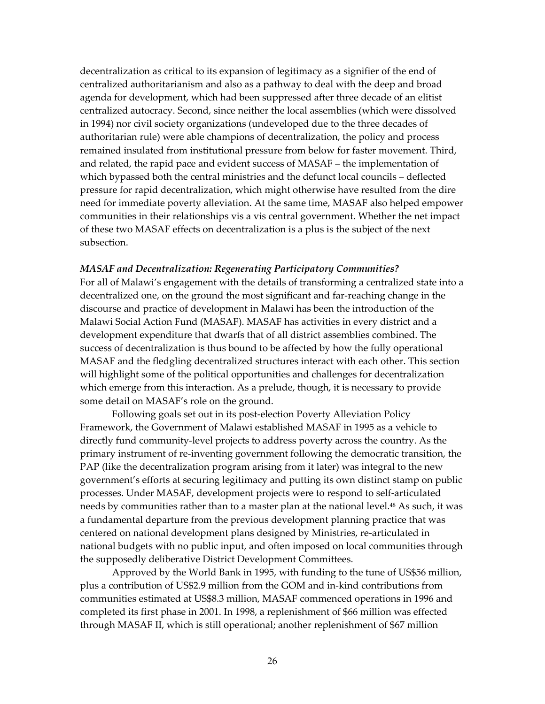decentralization as critical to its expansion of legitimacy as a signifier of the end of centralized authoritarianism and also as a pathway to deal with the deep and broad agenda for development, which had been suppressed after three decade of an elitist centralized autocracy. Second, since neither the local assemblies (which were dissolved in 1994) nor civil society organizations (undeveloped due to the three decades of authoritarian rule) were able champions of decentralization, the policy and process remained insulated from institutional pressure from below for faster movement. Third, and related, the rapid pace and evident success of MASAF – the implementation of which bypassed both the central ministries and the defunct local councils - deflected pressure for rapid decentralization, which might otherwise have resulted from the dire need for immediate poverty alleviation. At the same time, MASAF also helped empower communities in their relationships vis a vis central government. Whether the net impact of these two MASAF effects on decentralization is a plus is the subject of the next subsection.

### *MASAF and Decentralization: Regenerating Participatory Communities?*

For all of Malawiís engagement with the details of transforming a centralized state into a decentralized one, on the ground the most significant and far-reaching change in the discourse and practice of development in Malawi has been the introduction of the Malawi Social Action Fund (MASAF). MASAF has activities in every district and a development expenditure that dwarfs that of all district assemblies combined. The success of decentralization is thus bound to be affected by how the fully operational MASAF and the fledgling decentralized structures interact with each other. This section will highlight some of the political opportunities and challenges for decentralization which emerge from this interaction. As a prelude, though, it is necessary to provide some detail on MASAF's role on the ground.

Following goals set out in its post-election Poverty Alleviation Policy Framework, the Government of Malawi established MASAF in 1995 as a vehicle to directly fund community-level projects to address poverty across the country. As the primary instrument of re-inventing government following the democratic transition, the PAP (like the decentralization program arising from it later) was integral to the new government's efforts at securing legitimacy and putting its own distinct stamp on public processes. Under MASAF, development projects were to respond to self-articulated needs by communities rather than to a master plan at the national level.<sup>48</sup> As such, it was a fundamental departure from the previous development planning practice that was centered on national development plans designed by Ministries, re-articulated in national budgets with no public input, and often imposed on local communities through the supposedly deliberative District Development Committees.

Approved by the World Bank in 1995, with funding to the tune of US\$56 million, plus a contribution of US\$2.9 million from the GOM and in-kind contributions from communities estimated at US\$8.3 million, MASAF commenced operations in 1996 and completed its first phase in 2001. In 1998, a replenishment of \$66 million was effected through MASAF II, which is still operational; another replenishment of \$67 million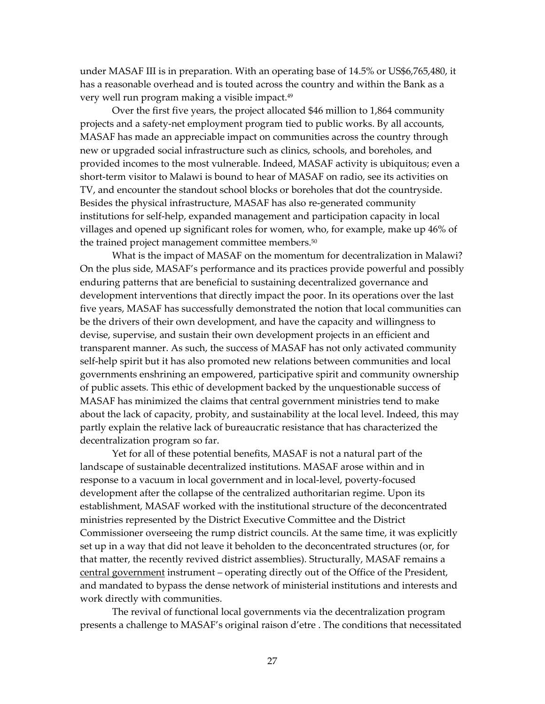under MASAF III is in preparation. With an operating base of 14.5% or US\$6,765,480, it has a reasonable overhead and is touted across the country and within the Bank as a very well run program making a visible impact.<sup>49</sup>

Over the first five years, the project allocated \$46 million to 1,864 community projects and a safety-net employment program tied to public works. By all accounts, MASAF has made an appreciable impact on communities across the country through new or upgraded social infrastructure such as clinics, schools, and boreholes, and provided incomes to the most vulnerable. Indeed, MASAF activity is ubiquitous; even a short-term visitor to Malawi is bound to hear of MASAF on radio, see its activities on TV, and encounter the standout school blocks or boreholes that dot the countryside. Besides the physical infrastructure, MASAF has also re-generated community institutions for self-help, expanded management and participation capacity in local villages and opened up significant roles for women, who, for example, make up 46% of the trained project management committee members.<sup>50</sup>

What is the impact of MASAF on the momentum for decentralization in Malawi? On the plus side, MASAF's performance and its practices provide powerful and possibly enduring patterns that are beneficial to sustaining decentralized governance and development interventions that directly impact the poor. In its operations over the last five years, MASAF has successfully demonstrated the notion that local communities can be the drivers of their own development, and have the capacity and willingness to devise, supervise, and sustain their own development projects in an efficient and transparent manner. As such, the success of MASAF has not only activated community self-help spirit but it has also promoted new relations between communities and local governments enshrining an empowered, participative spirit and community ownership of public assets. This ethic of development backed by the unquestionable success of MASAF has minimized the claims that central government ministries tend to make about the lack of capacity, probity, and sustainability at the local level. Indeed, this may partly explain the relative lack of bureaucratic resistance that has characterized the decentralization program so far.

Yet for all of these potential benefits, MASAF is not a natural part of the landscape of sustainable decentralized institutions. MASAF arose within and in response to a vacuum in local government and in local-level, poverty-focused development after the collapse of the centralized authoritarian regime. Upon its establishment, MASAF worked with the institutional structure of the deconcentrated ministries represented by the District Executive Committee and the District Commissioner overseeing the rump district councils. At the same time, it was explicitly set up in a way that did not leave it beholden to the deconcentrated structures (or, for that matter, the recently revived district assemblies). Structurally, MASAF remains a central government instrument – operating directly out of the Office of the President, and mandated to bypass the dense network of ministerial institutions and interests and work directly with communities.

The revival of functional local governments via the decentralization program presents a challenge to MASAF's original raison d'etre . The conditions that necessitated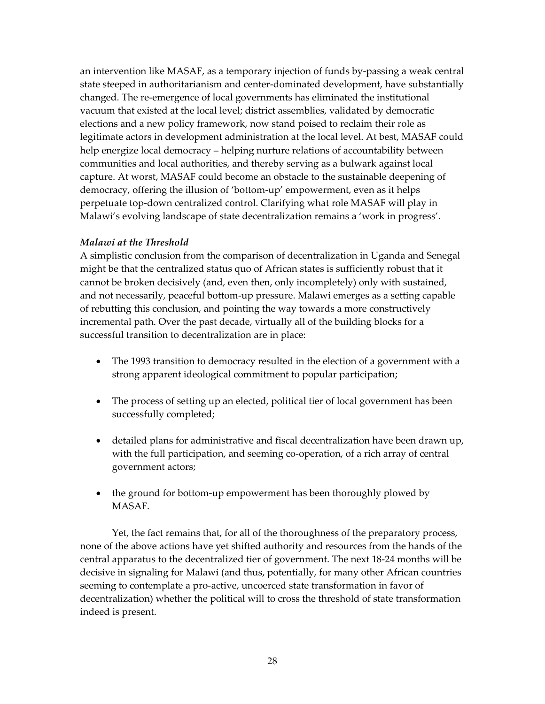an intervention like MASAF, as a temporary injection of funds by-passing a weak central state steeped in authoritarianism and center-dominated development, have substantially changed. The re-emergence of local governments has eliminated the institutional vacuum that existed at the local level; district assemblies, validated by democratic elections and a new policy framework, now stand poised to reclaim their role as legitimate actors in development administration at the local level. At best, MASAF could help energize local democracy – helping nurture relations of accountability between communities and local authorities, and thereby serving as a bulwark against local capture. At worst, MASAF could become an obstacle to the sustainable deepening of democracy, offering the illusion of 'bottom-up' empowerment, even as it helps perpetuate top-down centralized control. Clarifying what role MASAF will play in Malawi's evolving landscape of state decentralization remains a 'work in progress'.

## *Malawi at the Threshold*

A simplistic conclusion from the comparison of decentralization in Uganda and Senegal might be that the centralized status quo of African states is sufficiently robust that it cannot be broken decisively (and, even then, only incompletely) only with sustained, and not necessarily, peaceful bottom-up pressure. Malawi emerges as a setting capable of rebutting this conclusion, and pointing the way towards a more constructively incremental path. Over the past decade, virtually all of the building blocks for a successful transition to decentralization are in place:

- The 1993 transition to democracy resulted in the election of a government with a strong apparent ideological commitment to popular participation;
- The process of setting up an elected, political tier of local government has been successfully completed;
- detailed plans for administrative and fiscal decentralization have been drawn up, with the full participation, and seeming co-operation, of a rich array of central government actors;
- the ground for bottom-up empowerment has been thoroughly plowed by MASAF.

Yet, the fact remains that, for all of the thoroughness of the preparatory process, none of the above actions have yet shifted authority and resources from the hands of the central apparatus to the decentralized tier of government. The next 18-24 months will be decisive in signaling for Malawi (and thus, potentially, for many other African countries seeming to contemplate a pro-active, uncoerced state transformation in favor of decentralization) whether the political will to cross the threshold of state transformation indeed is present.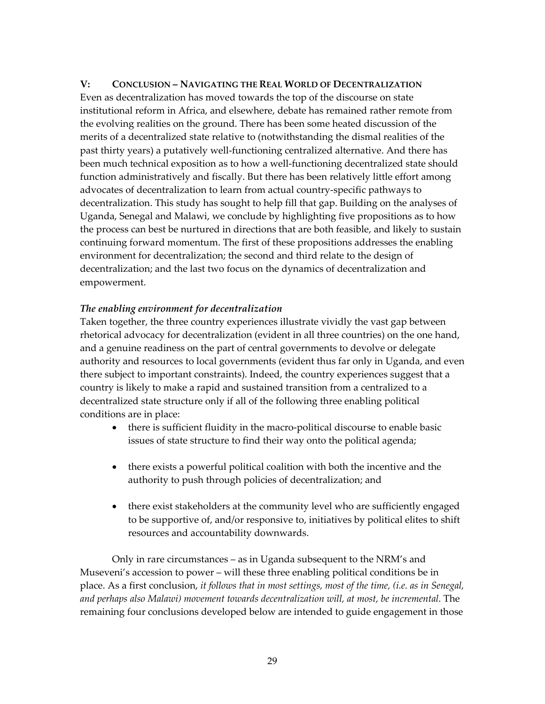## V: CONCLUSION – NAVIGATING THE REAL WORLD OF DECENTRALIZATION

Even as decentralization has moved towards the top of the discourse on state institutional reform in Africa, and elsewhere, debate has remained rather remote from the evolving realities on the ground. There has been some heated discussion of the merits of a decentralized state relative to (notwithstanding the dismal realities of the past thirty years) a putatively well-functioning centralized alternative. And there has been much technical exposition as to how a well-functioning decentralized state should function administratively and fiscally. But there has been relatively little effort among advocates of decentralization to learn from actual country-specific pathways to decentralization. This study has sought to help fill that gap. Building on the analyses of Uganda, Senegal and Malawi, we conclude by highlighting five propositions as to how the process can best be nurtured in directions that are both feasible, and likely to sustain continuing forward momentum. The first of these propositions addresses the enabling environment for decentralization; the second and third relate to the design of decentralization; and the last two focus on the dynamics of decentralization and empowerment.

## *The enabling environment for decentralization*

Taken together, the three country experiences illustrate vividly the vast gap between rhetorical advocacy for decentralization (evident in all three countries) on the one hand, and a genuine readiness on the part of central governments to devolve or delegate authority and resources to local governments (evident thus far only in Uganda, and even there subject to important constraints). Indeed, the country experiences suggest that a country is likely to make a rapid and sustained transition from a centralized to a decentralized state structure only if all of the following three enabling political conditions are in place:

- there is sufficient fluidity in the macro-political discourse to enable basic issues of state structure to find their way onto the political agenda;
- there exists a powerful political coalition with both the incentive and the authority to push through policies of decentralization; and
- there exist stakeholders at the community level who are sufficiently engaged to be supportive of, and/or responsive to, initiatives by political elites to shift resources and accountability downwards.

Only in rare circumstances  $-$  as in Uganda subsequent to the NRM's and Museveni's accession to power – will these three enabling political conditions be in place. As a first conclusion, *it follows that in most settings, most of the time, (i.e. as in Senegal, and perhaps also Malawi) movement towards decentralization will, at most, be incremental*. The remaining four conclusions developed below are intended to guide engagement in those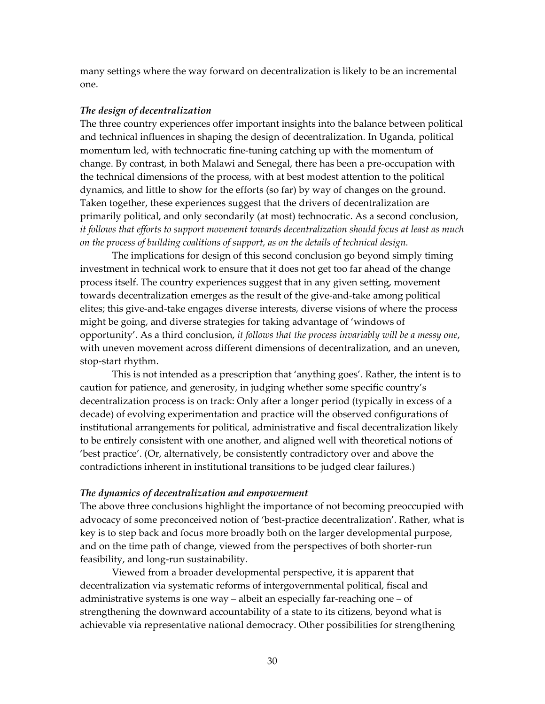many settings where the way forward on decentralization is likely to be an incremental one.

#### *The design of decentralization*

The three country experiences offer important insights into the balance between political and technical influences in shaping the design of decentralization. In Uganda, political momentum led, with technocratic fine-tuning catching up with the momentum of change. By contrast, in both Malawi and Senegal, there has been a pre-occupation with the technical dimensions of the process, with at best modest attention to the political dynamics, and little to show for the efforts (so far) by way of changes on the ground. Taken together, these experiences suggest that the drivers of decentralization are primarily political, and only secondarily (at most) technocratic. As a second conclusion, *it follows that efforts to support movement towards decentralization should focus at least as much on the process of building coalitions of support, as on the details of technical design.*

The implications for design of this second conclusion go beyond simply timing investment in technical work to ensure that it does not get too far ahead of the change process itself. The country experiences suggest that in any given setting, movement towards decentralization emerges as the result of the give-and-take among political elites; this give-and-take engages diverse interests, diverse visions of where the process might be going, and diverse strategies for taking advantage of 'windows of opportunityí. As a third conclusion, *it follows that the process invariably will be a messy one*, with uneven movement across different dimensions of decentralization, and an uneven, stop-start rhythm.

This is not intended as a prescription that 'anything goes'. Rather, the intent is to caution for patience, and generosity, in judging whether some specific countryís decentralization process is on track: Only after a longer period (typically in excess of a decade) of evolving experimentation and practice will the observed configurations of institutional arrangements for political, administrative and fiscal decentralization likely to be entirely consistent with one another, and aligned well with theoretical notions of 'best practice'. (Or, alternatively, be consistently contradictory over and above the contradictions inherent in institutional transitions to be judged clear failures.)

### *The dynamics of decentralization and empowerment*

The above three conclusions highlight the importance of not becoming preoccupied with advocacy of some preconceived notion of 'best-practice decentralization'. Rather, what is key is to step back and focus more broadly both on the larger developmental purpose, and on the time path of change, viewed from the perspectives of both shorter-run feasibility, and long-run sustainability.

Viewed from a broader developmental perspective, it is apparent that decentralization via systematic reforms of intergovernmental political, fiscal and administrative systems is one way  $-\tilde{a}$  albeit an especially far-reaching one  $-\tilde{a}$  of strengthening the downward accountability of a state to its citizens, beyond what is achievable via representative national democracy. Other possibilities for strengthening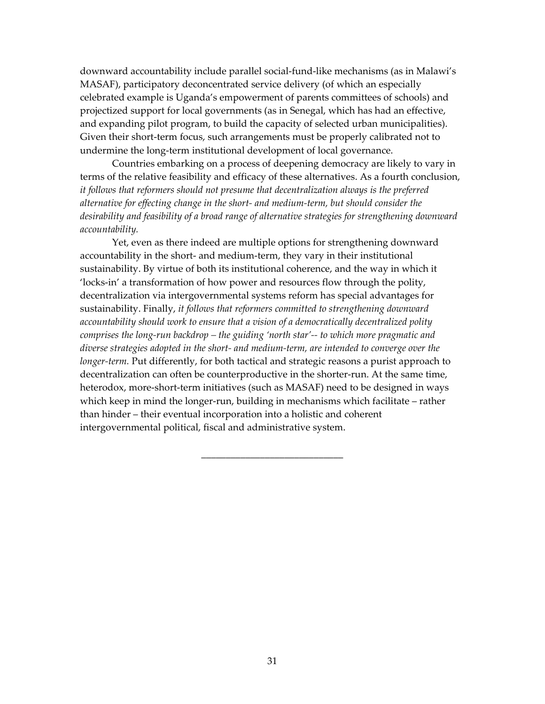downward accountability include parallel social-fund-like mechanisms (as in Malawiís MASAF), participatory deconcentrated service delivery (of which an especially celebrated example is Uganda's empowerment of parents committees of schools) and projectized support for local governments (as in Senegal, which has had an effective, and expanding pilot program, to build the capacity of selected urban municipalities). Given their short-term focus, such arrangements must be properly calibrated not to undermine the long-term institutional development of local governance.

Countries embarking on a process of deepening democracy are likely to vary in terms of the relative feasibility and efficacy of these alternatives. As a fourth conclusion, *it follows that reformers should not presume that decentralization always is the preferred alternative for effecting change in the short- and medium-term, but should consider the desirability and feasibility of a broad range of alternative strategies for strengthening downward accountability.*

Yet, even as there indeed are multiple options for strengthening downward accountability in the short- and medium-term, they vary in their institutional sustainability. By virtue of both its institutional coherence, and the way in which it flocks-in' a transformation of how power and resources flow through the polity, decentralization via intergovernmental systems reform has special advantages for sustainability. Finally, *it follows that reformers committed to strengthening downward accountability should work to ensure that a vision of a democratically decentralized polity comprises the long-run backdrop – the guiding 'north star'-- to which more pragmatic and diverse strategies adopted in the short- and medium-term, are intended to converge over the longer-term.* Put differently, for both tactical and strategic reasons a purist approach to decentralization can often be counterproductive in the shorter-run. At the same time, heterodox, more-short-term initiatives (such as MASAF) need to be designed in ways which keep in mind the longer-run, building in mechanisms which facilitate – rather than hinder – their eventual incorporation into a holistic and coherent intergovernmental political, fiscal and administrative system.

\_\_\_\_\_\_\_\_\_\_\_\_\_\_\_\_\_\_\_\_\_\_\_\_\_\_\_\_\_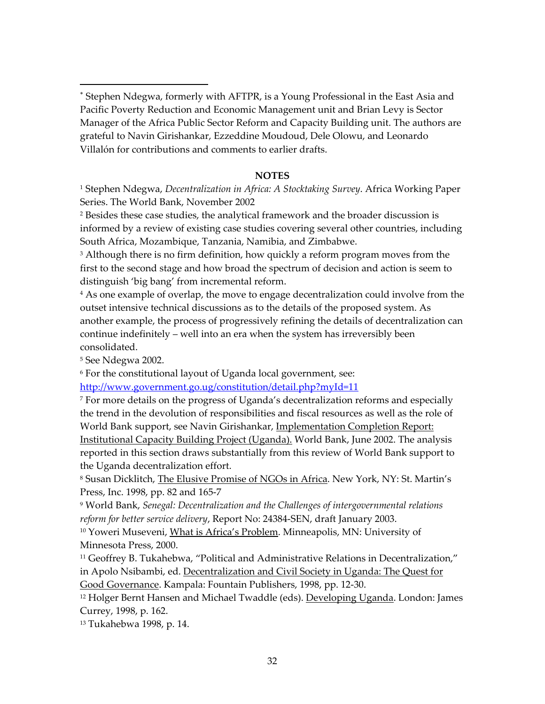∗ Stephen Ndegwa, formerly with AFTPR, is a Young Professional in the East Asia and Pacific Poverty Reduction and Economic Management unit and Brian Levy is Sector Manager of the Africa Public Sector Reform and Capacity Building unit. The authors are grateful to Navin Girishankar, Ezzeddine Moudoud, Dele Olowu, and Leonardo Villalón for contributions and comments to earlier drafts.

## **NOTES**

1 Stephen Ndegwa, *Decentralization in Africa: A Stocktaking Survey*. Africa Working Paper Series. The World Bank, November 2002

2 Besides these case studies, the analytical framework and the broader discussion is informed by a review of existing case studies covering several other countries, including South Africa, Mozambique, Tanzania, Namibia, and Zimbabwe.

<sup>3</sup> Although there is no firm definition, how quickly a reform program moves from the first to the second stage and how broad the spectrum of decision and action is seem to distinguish 'big bang' from incremental reform.

<sup>4</sup> As one example of overlap, the move to engage decentralization could involve from the outset intensive technical discussions as to the details of the proposed system. As another example, the process of progressively refining the details of decentralization can continue indefinitely  $-$  well into an era when the system has irreversibly been consolidated.

5 See Ndegwa 2002.

 $\overline{a}$ 

6 For the constitutional layout of Uganda local government, see:

<http://www.government.go.ug/constitution/detail.php?myId=11>

7 For more details on the progress of Ugandaís decentralization reforms and especially the trend in the devolution of responsibilities and fiscal resources as well as the role of World Bank support, see Navin Girishankar, Implementation Completion Report: Institutional Capacity Building Project (Uganda). World Bank, June 2002. The analysis reported in this section draws substantially from this review of World Bank support to the Uganda decentralization effort.

<sup>8</sup> Susan Dicklitch, The Elusive Promise of NGOs in Africa. New York, NY: St. Martin's Press, Inc. 1998, pp. 82 and 165-7

9 World Bank, *Senegal: Decentralization and the Challenges of intergovernmental relations reform for better service delivery*, Report No: 24384-SEN, draft January 2003.

<sup>10</sup> Yoweri Museveni, What is Africa's Problem. Minneapolis, MN: University of Minnesota Press, 2000.

 $11$  Geoffrey B. Tukahebwa, "Political and Administrative Relations in Decentralization," in Apolo Nsibambi, ed. Decentralization and Civil Society in Uganda: The Quest for

Good Governance. Kampala: Fountain Publishers, 1998, pp. 12-30.

<sup>12</sup> Holger Bernt Hansen and Michael Twaddle (eds). Developing Uganda. London: James Currey, 1998, p. 162.

13 Tukahebwa 1998, p. 14.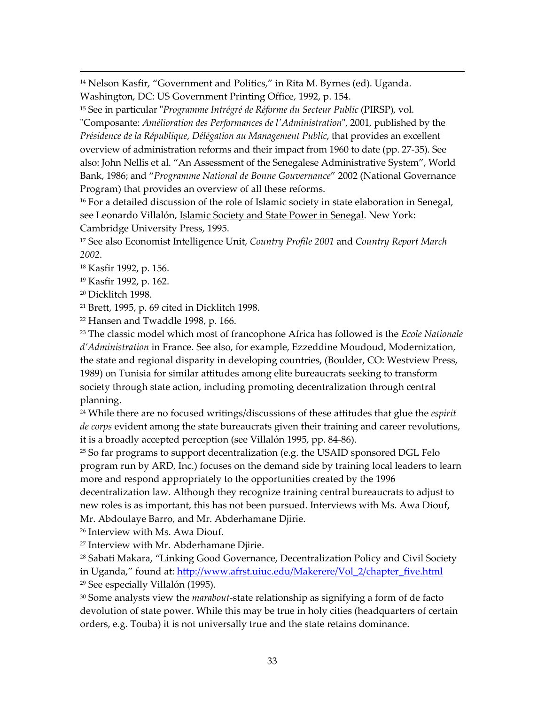<sup>14</sup> Nelson Kasfir, "Government and Politics," in Rita M. Byrnes (ed). Uganda. Washington, DC: US Government Printing Office, 1992, p. 154.

<sup>15</sup> See in particular "*Programme Intrégré de Réforme du Secteur Public* (PIRSP), vol.

"Composante: *AmÈlioration des Performances de l'Administration*", 2001, published by the *PrÈsidence de la RÈpublique, DÈlÈgation au Management Public*, that provides an excellent overview of administration reforms and their impact from 1960 to date (pp. 27-35). See also: John Nellis et al. "An Assessment of the Senegalese Administrative System", World Bank, 1986; and "Programme National de Bonne Gouvernance" 2002 (National Governance Program) that provides an overview of all these reforms.

<sup>16</sup> For a detailed discussion of the role of Islamic society in state elaboration in Senegal, see Leonardo Villalón, *Islamic Society and State Power in Senegal*. New York: Cambridge University Press, 1995.

17 See also Economist Intelligence Unit, *Country Profile 2001* and *Country Report March 2002*.

18 Kasfir 1992, p. 156.

19 Kasfir 1992, p. 162.

20 Dicklitch 1998.

 $\overline{a}$ 

21 Brett, 1995, p. 69 cited in Dicklitch 1998.

22 Hansen and Twaddle 1998, p. 166.

23 The classic model which most of francophone Africa has followed is the *Ecole Nationale díAdministration* in France. See also, for example, Ezzeddine Moudoud, Modernization, the state and regional disparity in developing countries, (Boulder, CO: Westview Press, 1989) on Tunisia for similar attitudes among elite bureaucrats seeking to transform society through state action, including promoting decentralization through central planning.

24 While there are no focused writings/discussions of these attitudes that glue the *espirit de corps* evident among the state bureaucrats given their training and career revolutions, it is a broadly accepted perception (see Villalón 1995, pp. 84-86).

 $25$  So far programs to support decentralization (e.g. the USAID sponsored DGL Felo program run by ARD, Inc.) focuses on the demand side by training local leaders to learn more and respond appropriately to the opportunities created by the 1996

decentralization law. Although they recognize training central bureaucrats to adjust to new roles is as important, this has not been pursued. Interviews with Ms. Awa Diouf, Mr. Abdoulaye Barro, and Mr. Abderhamane Djirie.

26 Interview with Ms. Awa Diouf.

27 Interview with Mr. Abderhamane Djirie.

 $28$  Sabati Makara, "Linking Good Governance, Decentralization Policy and Civil Society in Uganda," found at: http://www.afrst.uiuc.edu/Makerere/Vol\_2/chapter\_five.html <sup>29</sup> See especially Villalón (1995).

30 Some analysts view the *marabout*-state relationship as signifying a form of de facto devolution of state power. While this may be true in holy cities (headquarters of certain orders, e.g. Touba) it is not universally true and the state retains dominance.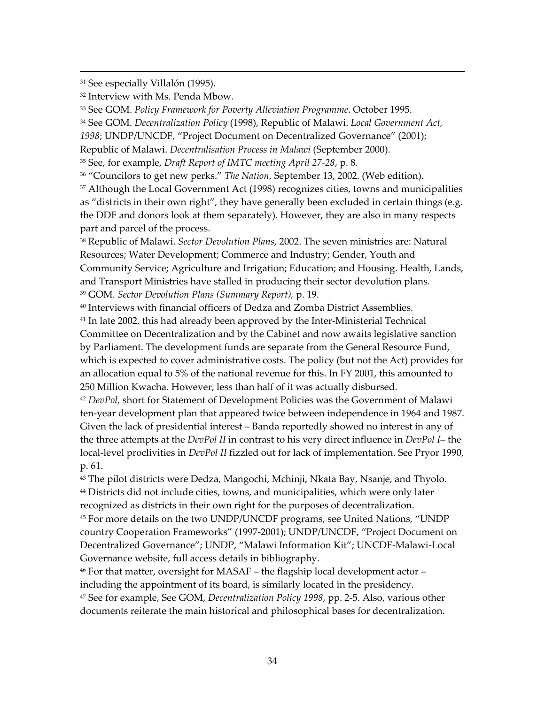<sup>31</sup> See especially Villalón (1995).

 $\overline{a}$ 

32 Interview with Ms. Penda Mbow.

33 See GOM. *Policy Framework for Poverty Alleviation Programme*. October 1995.

34 See GOM. *Decentralization Policy* (1998), Republic of Malawi. *Local Government Act,* 

1998; UNDP/UNCDF, "Project Document on Decentralized Governance" (2001);

Republic of Malawi. *Decentralisation Process in Malawi* (September 2000).

35 See, for example, *Draft Report of IMTC meeting April 27-28*, p. 8*.*

<sup>36</sup> "Councilors to get new perks." *The Nation*, September 13, 2002. (Web edition).

 $37$  Although the Local Government Act (1998) recognizes cities, towns and municipalities as "districts in their own right", they have generally been excluded in certain things (e.g. the DDF and donors look at them separately). However, they are also in many respects part and parcel of the process.

38 Republic of Malawi. *Sector Devolution Plans*, 2002. The seven ministries are: Natural Resources; Water Development; Commerce and Industry; Gender, Youth and Community Service; Agriculture and Irrigation; Education; and Housing. Health, Lands, and Transport Ministries have stalled in producing their sector devolution plans. 39 GOM. *Sector Devolution Plans (Summary Report),* p. 19.

40 Interviews with financial officers of Dedza and Zomba District Assemblies.

41 In late 2002, this had already been approved by the Inter-Ministerial Technical Committee on Decentralization and by the Cabinet and now awaits legislative sanction by Parliament. The development funds are separate from the General Resource Fund, which is expected to cover administrative costs. The policy (but not the Act) provides for an allocation equal to 5% of the national revenue for this. In FY 2001, this amounted to 250 Million Kwacha. However, less than half of it was actually disbursed.

<sup>42</sup> *DevPol,* short for Statement of Development Policies was the Government of Malawi ten-year development plan that appeared twice between independence in 1964 and 1987. Given the lack of presidential interest – Banda reportedly showed no interest in any of the three attempts at the *DevPol II* in contrast to his very direct influence in *DevPol I*-the local-level proclivities in *DevPol II* fizzled out for lack of implementation. See Pryor 1990, p. 61.

<sup>43</sup> The pilot districts were Dedza, Mangochi, Mchinji, Nkata Bay, Nsanje, and Thyolo. <sup>44</sup> Districts did not include cities, towns, and municipalities, which were only later recognized as districts in their own right for the purposes of decentralization.

<sup>45</sup> For more details on the two UNDP/UNCDF programs, see United Nations, "UNDP country Cooperation Frameworks" (1997-2001); UNDP/UNCDF, "Project Document on Decentralized Governance"; UNDP, "Malawi Information Kit"; UNCDF-Malawi-Local Governance website, full access details in bibliography.

 $46$  For that matter, oversight for MASAF – the flagship local development actor – including the appointment of its board, is similarly located in the presidency. 47 See for example, See GOM, *Decentralization Policy 1998*, pp. 2-5. Also, various other documents reiterate the main historical and philosophical bases for decentralization.